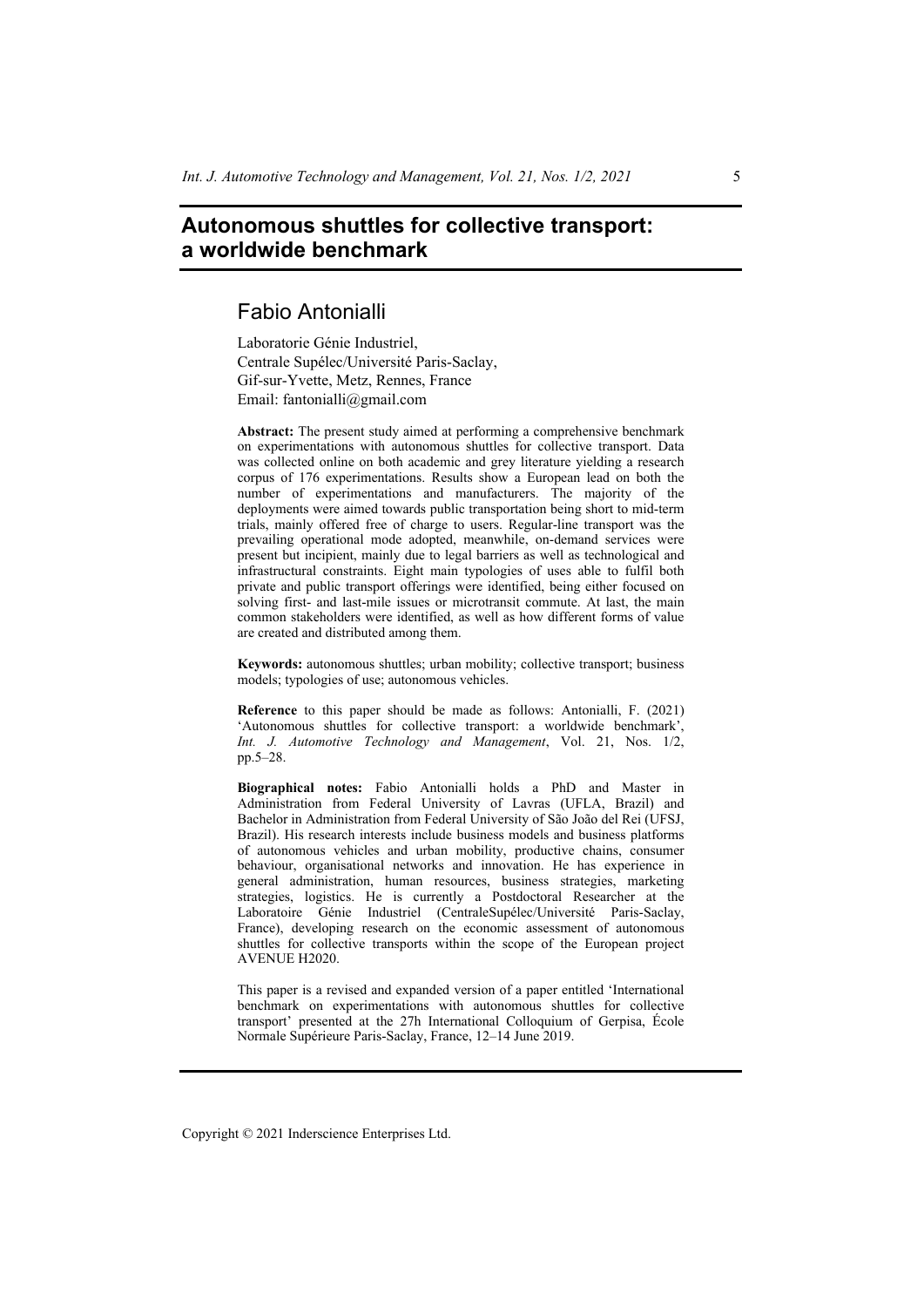# **Autonomous shuttles for collective transport: a worldwide benchmark**

## Fabio Antonialli

Laboratorie Génie Industriel, Centrale Supélec/Université Paris-Saclay, Gif-sur-Yvette, Metz, Rennes, France Email: fantonialli@gmail.com

**Abstract:** The present study aimed at performing a comprehensive benchmark on experimentations with autonomous shuttles for collective transport. Data was collected online on both academic and grey literature yielding a research corpus of 176 experimentations. Results show a European lead on both the number of experimentations and manufacturers. The majority of the deployments were aimed towards public transportation being short to mid-term trials, mainly offered free of charge to users. Regular-line transport was the prevailing operational mode adopted, meanwhile, on-demand services were present but incipient, mainly due to legal barriers as well as technological and infrastructural constraints. Eight main typologies of uses able to fulfil both private and public transport offerings were identified, being either focused on solving first- and last-mile issues or microtransit commute. At last, the main common stakeholders were identified, as well as how different forms of value are created and distributed among them.

**Keywords:** autonomous shuttles; urban mobility; collective transport; business models; typologies of use; autonomous vehicles.

**Reference** to this paper should be made as follows: Antonialli, F. (2021) 'Autonomous shuttles for collective transport: a worldwide benchmark', *Int. J. Automotive Technology and Management*, Vol. 21, Nos. 1/2, pp.5–28.

**Biographical notes:** Fabio Antonialli holds a PhD and Master in Administration from Federal University of Lavras (UFLA, Brazil) and Bachelor in Administration from Federal University of São João del Rei (UFSJ, Brazil). His research interests include business models and business platforms of autonomous vehicles and urban mobility, productive chains, consumer behaviour, organisational networks and innovation. He has experience in general administration, human resources, business strategies, marketing strategies, logistics. He is currently a Postdoctoral Researcher at the Laboratoire Génie Industriel (CentraleSupélec/Université Paris-Saclay, France), developing research on the economic assessment of autonomous shuttles for collective transports within the scope of the European project AVENUE H2020.

This paper is a revised and expanded version of a paper entitled 'International benchmark on experimentations with autonomous shuttles for collective transport' presented at the 27h International Colloquium of Gerpisa, École Normale Supérieure Paris-Saclay, France, 12–14 June 2019.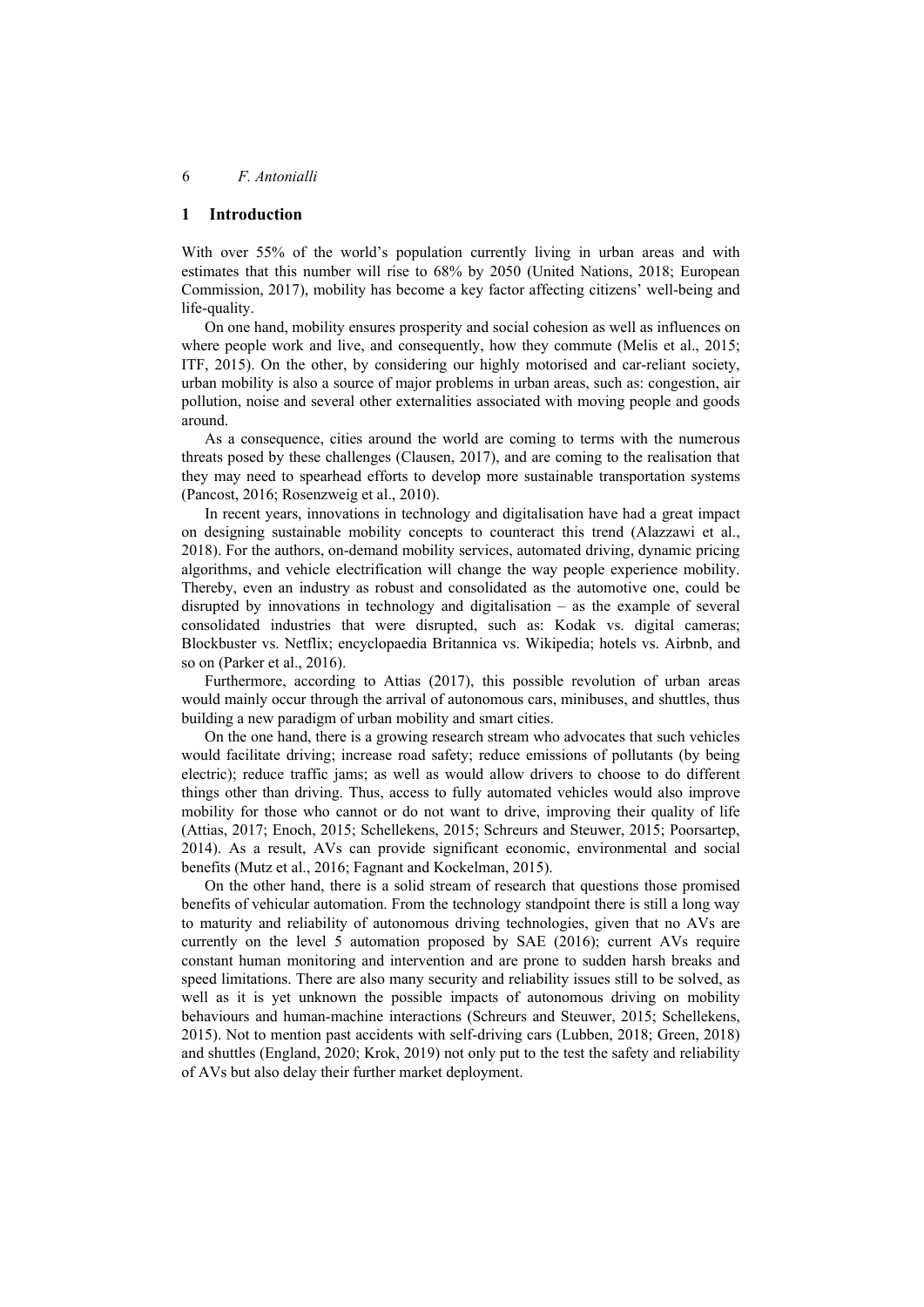## **1 Introduction**

With over 55% of the world's population currently living in urban areas and with estimates that this number will rise to 68% by 2050 (United Nations, 2018; European Commission, 2017), mobility has become a key factor affecting citizens' well-being and life-quality.

On one hand, mobility ensures prosperity and social cohesion as well as influences on where people work and live, and consequently, how they commute (Melis et al., 2015; ITF, 2015). On the other, by considering our highly motorised and car-reliant society, urban mobility is also a source of major problems in urban areas, such as: congestion, air pollution, noise and several other externalities associated with moving people and goods around.

As a consequence, cities around the world are coming to terms with the numerous threats posed by these challenges (Clausen, 2017), and are coming to the realisation that they may need to spearhead efforts to develop more sustainable transportation systems (Pancost, 2016; Rosenzweig et al., 2010).

In recent years, innovations in technology and digitalisation have had a great impact on designing sustainable mobility concepts to counteract this trend (Alazzawi et al., 2018). For the authors, on-demand mobility services, automated driving, dynamic pricing algorithms, and vehicle electrification will change the way people experience mobility. Thereby, even an industry as robust and consolidated as the automotive one, could be disrupted by innovations in technology and digitalisation – as the example of several consolidated industries that were disrupted, such as: Kodak vs. digital cameras; Blockbuster vs. Netflix; encyclopaedia Britannica vs. Wikipedia; hotels vs. Airbnb, and so on (Parker et al., 2016).

Furthermore, according to Attias (2017), this possible revolution of urban areas would mainly occur through the arrival of autonomous cars, minibuses, and shuttles, thus building a new paradigm of urban mobility and smart cities.

On the one hand, there is a growing research stream who advocates that such vehicles would facilitate driving; increase road safety; reduce emissions of pollutants (by being electric); reduce traffic jams; as well as would allow drivers to choose to do different things other than driving. Thus, access to fully automated vehicles would also improve mobility for those who cannot or do not want to drive, improving their quality of life (Attias, 2017; Enoch, 2015; Schellekens, 2015; Schreurs and Steuwer, 2015; Poorsartep, 2014). As a result, AVs can provide significant economic, environmental and social benefits (Mutz et al., 2016; Fagnant and Kockelman, 2015).

On the other hand, there is a solid stream of research that questions those promised benefits of vehicular automation. From the technology standpoint there is still a long way to maturity and reliability of autonomous driving technologies, given that no AVs are currently on the level 5 automation proposed by SAE (2016); current AVs require constant human monitoring and intervention and are prone to sudden harsh breaks and speed limitations. There are also many security and reliability issues still to be solved, as well as it is yet unknown the possible impacts of autonomous driving on mobility behaviours and human-machine interactions (Schreurs and Steuwer, 2015; Schellekens, 2015). Not to mention past accidents with self-driving cars (Lubben, 2018; Green, 2018) and shuttles (England, 2020; Krok, 2019) not only put to the test the safety and reliability of AVs but also delay their further market deployment.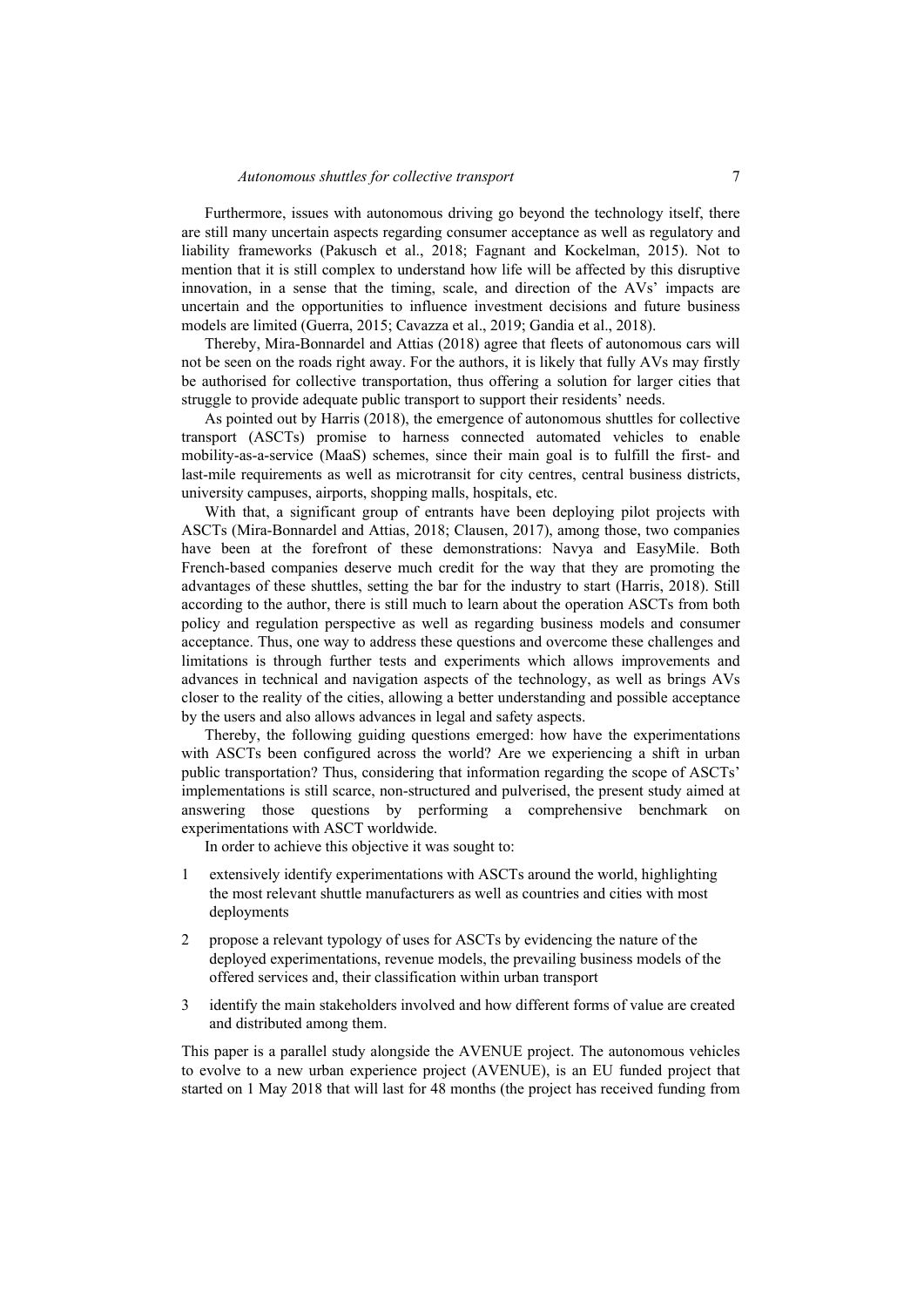Furthermore, issues with autonomous driving go beyond the technology itself, there are still many uncertain aspects regarding consumer acceptance as well as regulatory and liability frameworks (Pakusch et al., 2018; Fagnant and Kockelman, 2015). Not to mention that it is still complex to understand how life will be affected by this disruptive innovation, in a sense that the timing, scale, and direction of the AVs' impacts are uncertain and the opportunities to influence investment decisions and future business models are limited (Guerra, 2015; Cavazza et al., 2019; Gandia et al., 2018).

Thereby, Mira-Bonnardel and Attias (2018) agree that fleets of autonomous cars will not be seen on the roads right away. For the authors, it is likely that fully AVs may firstly be authorised for collective transportation, thus offering a solution for larger cities that struggle to provide adequate public transport to support their residents' needs.

As pointed out by Harris (2018), the emergence of autonomous shuttles for collective transport (ASCTs) promise to harness connected automated vehicles to enable mobility-as-a-service (MaaS) schemes, since their main goal is to fulfill the first- and last-mile requirements as well as microtransit for city centres, central business districts, university campuses, airports, shopping malls, hospitals, etc.

With that, a significant group of entrants have been deploying pilot projects with ASCTs (Mira-Bonnardel and Attias, 2018; Clausen, 2017), among those, two companies have been at the forefront of these demonstrations: Navya and EasyMile. Both French-based companies deserve much credit for the way that they are promoting the advantages of these shuttles, setting the bar for the industry to start (Harris, 2018). Still according to the author, there is still much to learn about the operation ASCTs from both policy and regulation perspective as well as regarding business models and consumer acceptance. Thus, one way to address these questions and overcome these challenges and limitations is through further tests and experiments which allows improvements and advances in technical and navigation aspects of the technology, as well as brings AVs closer to the reality of the cities, allowing a better understanding and possible acceptance by the users and also allows advances in legal and safety aspects.

Thereby, the following guiding questions emerged: how have the experimentations with ASCTs been configured across the world? Are we experiencing a shift in urban public transportation? Thus, considering that information regarding the scope of ASCTs' implementations is still scarce, non-structured and pulverised, the present study aimed at answering those questions by performing a comprehensive benchmark on experimentations with ASCT worldwide.

In order to achieve this objective it was sought to:

- 1 extensively identify experimentations with ASCTs around the world, highlighting the most relevant shuttle manufacturers as well as countries and cities with most deployments
- 2 propose a relevant typology of uses for ASCTs by evidencing the nature of the deployed experimentations, revenue models, the prevailing business models of the offered services and, their classification within urban transport
- 3 identify the main stakeholders involved and how different forms of value are created and distributed among them.

This paper is a parallel study alongside the AVENUE project. The autonomous vehicles to evolve to a new urban experience project (AVENUE), is an EU funded project that started on 1 May 2018 that will last for 48 months (the project has received funding from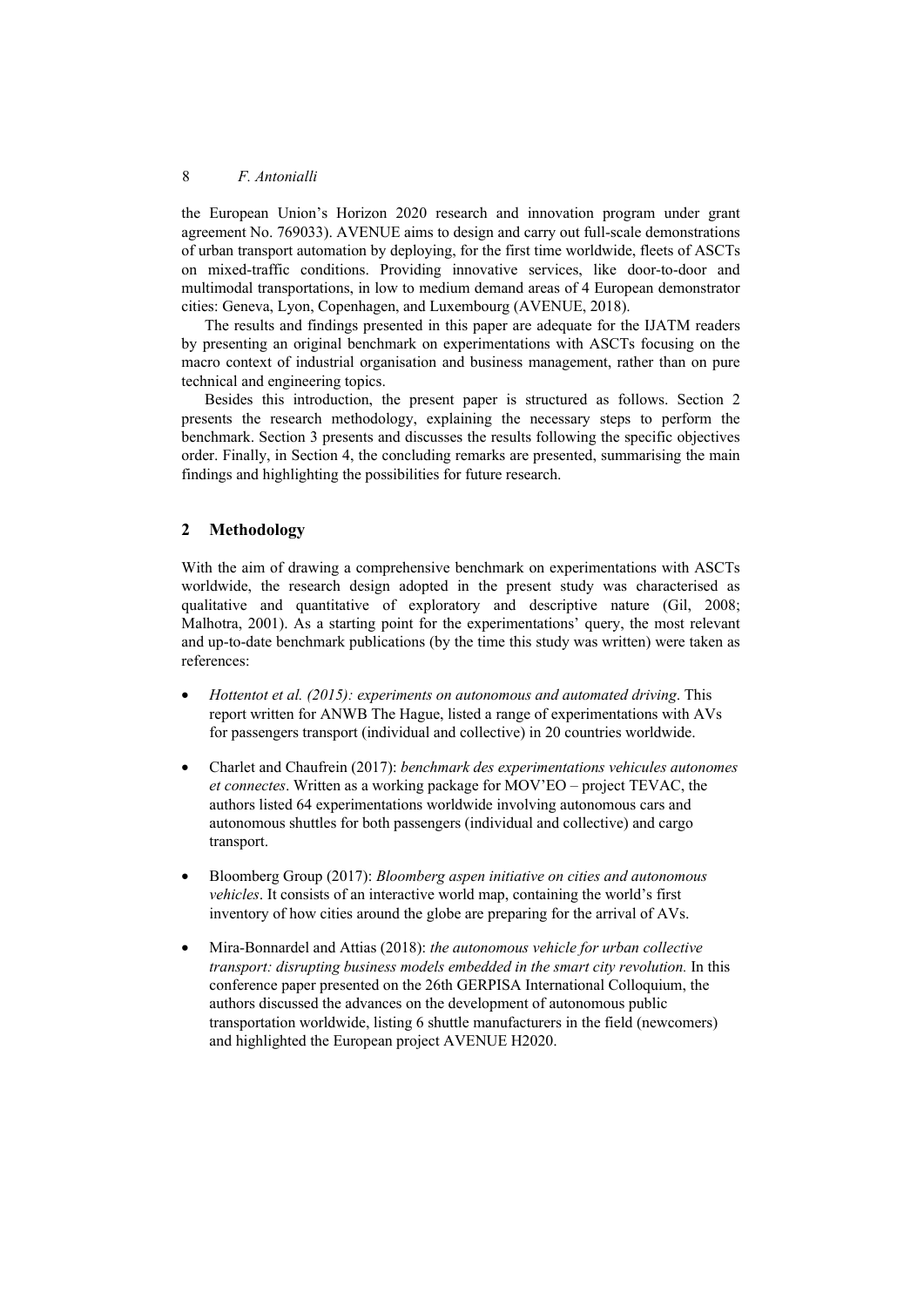the European Union's Horizon 2020 research and innovation program under grant agreement No. 769033). AVENUE aims to design and carry out full-scale demonstrations of urban transport automation by deploying, for the first time worldwide, fleets of ASCTs on mixed-traffic conditions. Providing innovative services, like door-to-door and multimodal transportations, in low to medium demand areas of 4 European demonstrator cities: Geneva, Lyon, Copenhagen, and Luxembourg (AVENUE, 2018).

The results and findings presented in this paper are adequate for the IJATM readers by presenting an original benchmark on experimentations with ASCTs focusing on the macro context of industrial organisation and business management, rather than on pure technical and engineering topics.

Besides this introduction, the present paper is structured as follows. Section 2 presents the research methodology, explaining the necessary steps to perform the benchmark. Section 3 presents and discusses the results following the specific objectives order. Finally, in Section 4, the concluding remarks are presented, summarising the main findings and highlighting the possibilities for future research.

## **2 Methodology**

With the aim of drawing a comprehensive benchmark on experimentations with ASCTs worldwide, the research design adopted in the present study was characterised as qualitative and quantitative of exploratory and descriptive nature (Gil, 2008; Malhotra, 2001). As a starting point for the experimentations' query, the most relevant and up-to-date benchmark publications (by the time this study was written) were taken as references:

- *Hottentot et al. (2015): experiments on autonomous and automated driving*. This report written for ANWB The Hague, listed a range of experimentations with AVs for passengers transport (individual and collective) in 20 countries worldwide.
- Charlet and Chaufrein (2017): *benchmark des experimentations vehicules autonomes et connectes*. Written as a working package for MOV'EO – project TEVAC, the authors listed 64 experimentations worldwide involving autonomous cars and autonomous shuttles for both passengers (individual and collective) and cargo transport.
- Bloomberg Group (2017): *Bloomberg aspen initiative on cities and autonomous vehicles*. It consists of an interactive world map, containing the world's first inventory of how cities around the globe are preparing for the arrival of AVs.
- Mira-Bonnardel and Attias (2018): *the autonomous vehicle for urban collective transport: disrupting business models embedded in the smart city revolution.* In this conference paper presented on the 26th GERPISA International Colloquium, the authors discussed the advances on the development of autonomous public transportation worldwide, listing 6 shuttle manufacturers in the field (newcomers) and highlighted the European project AVENUE H2020.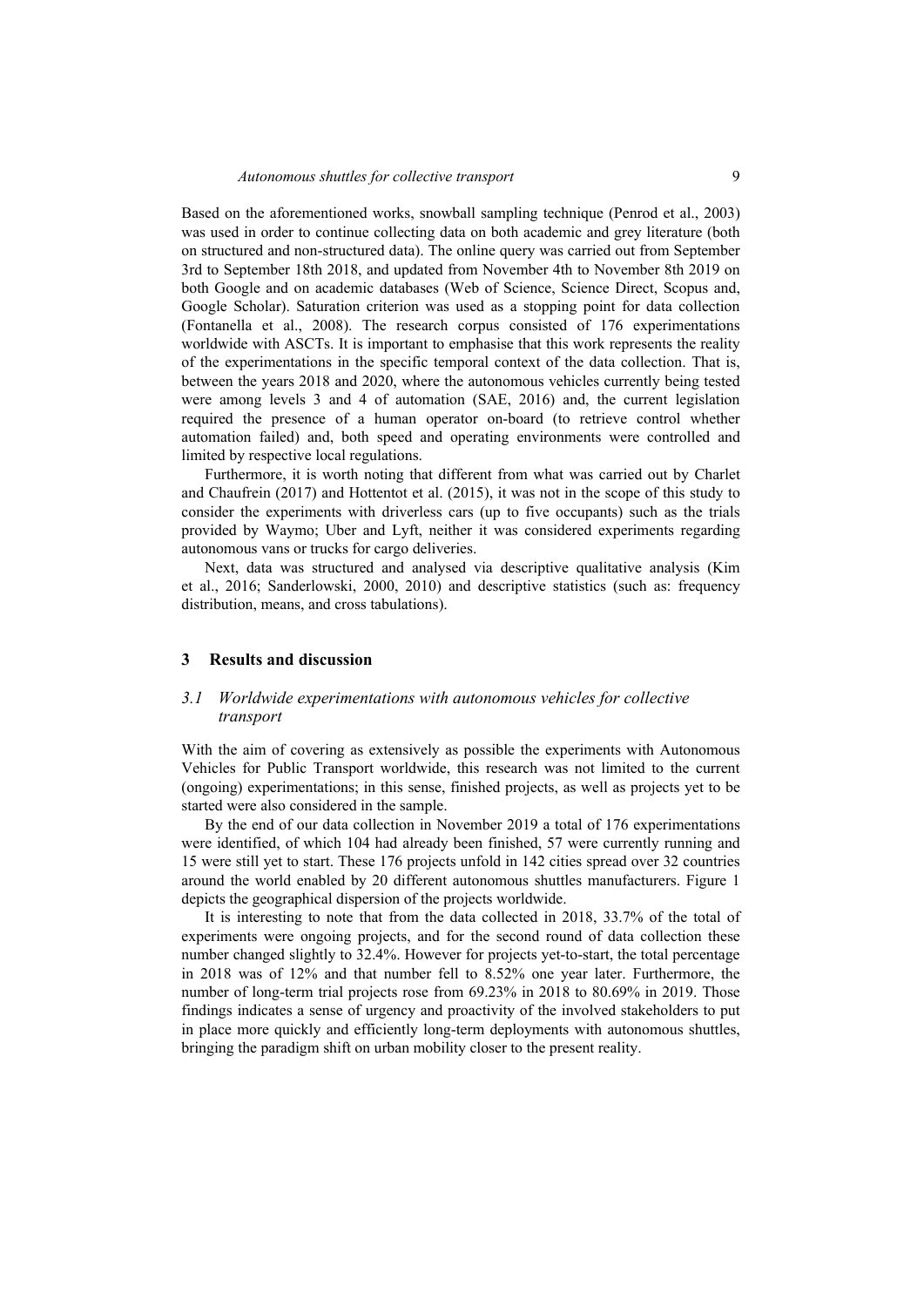Based on the aforementioned works, snowball sampling technique (Penrod et al., 2003) was used in order to continue collecting data on both academic and grey literature (both on structured and non-structured data). The online query was carried out from September 3rd to September 18th 2018, and updated from November 4th to November 8th 2019 on both Google and on academic databases (Web of Science, Science Direct, Scopus and, Google Scholar). Saturation criterion was used as a stopping point for data collection (Fontanella et al., 2008). The research corpus consisted of 176 experimentations worldwide with ASCTs. It is important to emphasise that this work represents the reality of the experimentations in the specific temporal context of the data collection. That is, between the years 2018 and 2020, where the autonomous vehicles currently being tested were among levels 3 and 4 of automation (SAE, 2016) and, the current legislation required the presence of a human operator on-board (to retrieve control whether automation failed) and, both speed and operating environments were controlled and limited by respective local regulations.

Furthermore, it is worth noting that different from what was carried out by Charlet and Chaufrein (2017) and Hottentot et al. (2015), it was not in the scope of this study to consider the experiments with driverless cars (up to five occupants) such as the trials provided by Waymo; Uber and Lyft, neither it was considered experiments regarding autonomous vans or trucks for cargo deliveries.

Next, data was structured and analysed via descriptive qualitative analysis (Kim et al., 2016; Sanderlowski, 2000, 2010) and descriptive statistics (such as: frequency distribution, means, and cross tabulations).

#### **3 Results and discussion**

#### *3.1 Worldwide experimentations with autonomous vehicles for collective transport*

With the aim of covering as extensively as possible the experiments with Autonomous Vehicles for Public Transport worldwide, this research was not limited to the current (ongoing) experimentations; in this sense, finished projects, as well as projects yet to be started were also considered in the sample.

By the end of our data collection in November 2019 a total of 176 experimentations were identified, of which 104 had already been finished, 57 were currently running and 15 were still yet to start. These 176 projects unfold in 142 cities spread over 32 countries around the world enabled by 20 different autonomous shuttles manufacturers. Figure 1 depicts the geographical dispersion of the projects worldwide.

It is interesting to note that from the data collected in 2018, 33.7% of the total of experiments were ongoing projects, and for the second round of data collection these number changed slightly to 32.4%. However for projects yet-to-start, the total percentage in 2018 was of 12% and that number fell to 8.52% one year later. Furthermore, the number of long-term trial projects rose from 69.23% in 2018 to 80.69% in 2019. Those findings indicates a sense of urgency and proactivity of the involved stakeholders to put in place more quickly and efficiently long-term deployments with autonomous shuttles, bringing the paradigm shift on urban mobility closer to the present reality.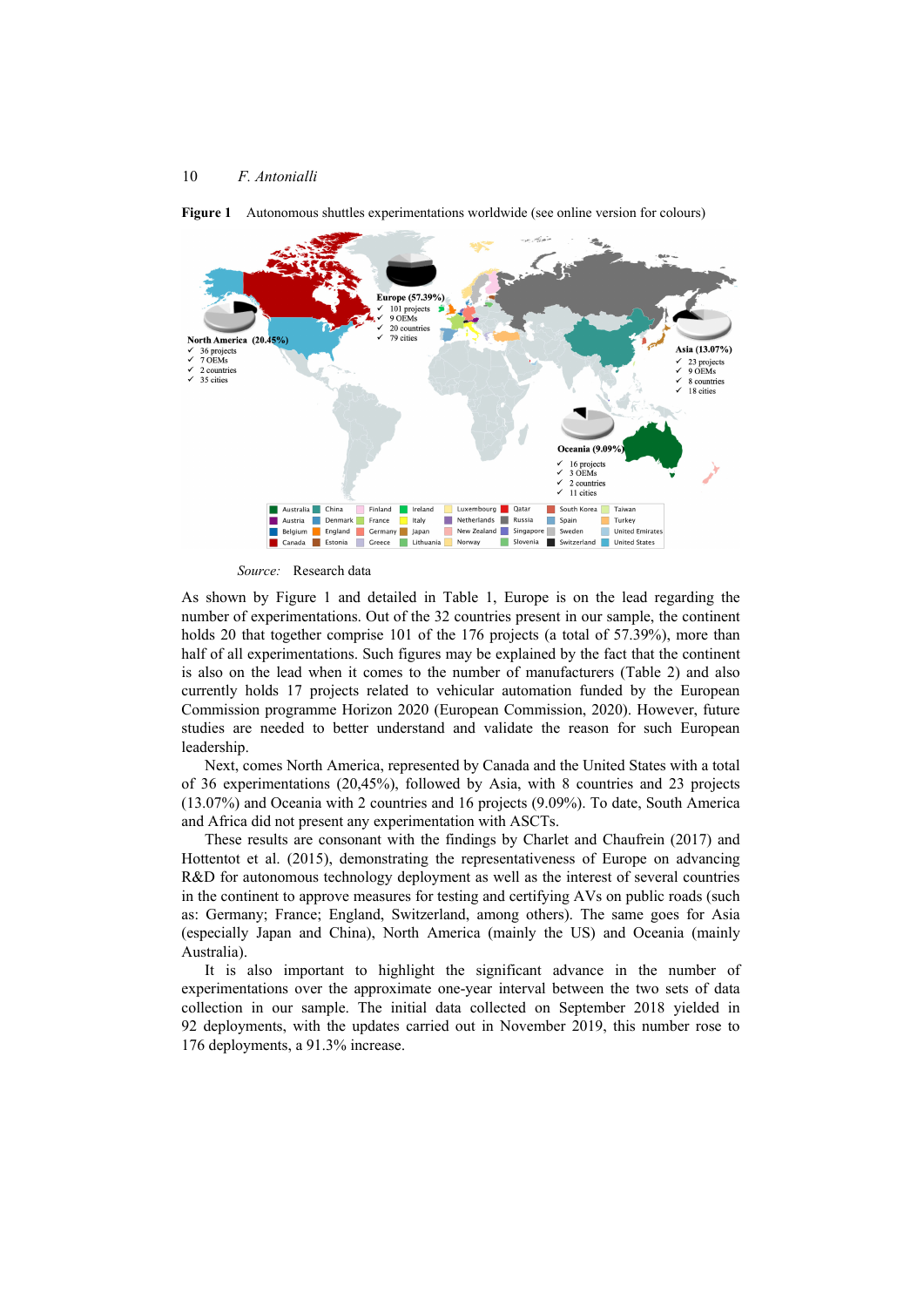

**Figure 1** Autonomous shuttles experimentations worldwide (see online version for colours)

*Source:* Research data

As shown by Figure 1 and detailed in Table 1, Europe is on the lead regarding the number of experimentations. Out of the 32 countries present in our sample, the continent holds 20 that together comprise 101 of the 176 projects (a total of 57.39%), more than half of all experimentations. Such figures may be explained by the fact that the continent is also on the lead when it comes to the number of manufacturers (Table 2) and also currently holds 17 projects related to vehicular automation funded by the European Commission programme Horizon 2020 (European Commission, 2020). However, future studies are needed to better understand and validate the reason for such European leadership.

Next, comes North America, represented by Canada and the United States with a total of 36 experimentations (20,45%), followed by Asia, with 8 countries and 23 projects (13.07%) and Oceania with 2 countries and 16 projects (9.09%). To date, South America and Africa did not present any experimentation with ASCTs.

These results are consonant with the findings by Charlet and Chaufrein (2017) and Hottentot et al. (2015), demonstrating the representativeness of Europe on advancing R&D for autonomous technology deployment as well as the interest of several countries in the continent to approve measures for testing and certifying AVs on public roads (such as: Germany; France; England, Switzerland, among others). The same goes for Asia (especially Japan and China), North America (mainly the US) and Oceania (mainly Australia).

It is also important to highlight the significant advance in the number of experimentations over the approximate one-year interval between the two sets of data collection in our sample. The initial data collected on September 2018 yielded in 92 deployments, with the updates carried out in November 2019, this number rose to 176 deployments, a 91.3% increase.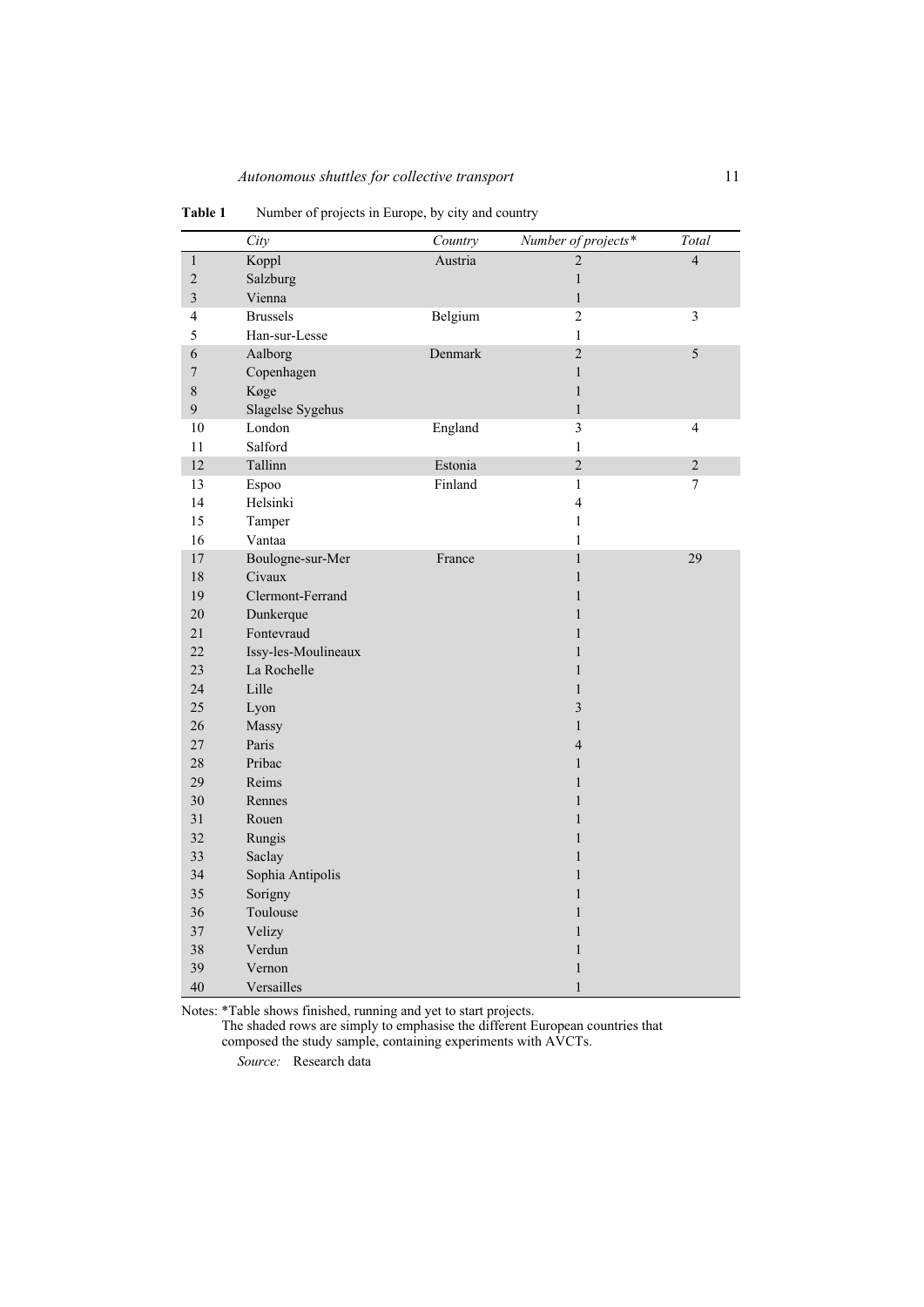|                         | City                | Country | Number of projects*     | Total                    |
|-------------------------|---------------------|---------|-------------------------|--------------------------|
| $\,1\,$                 | Koppl               | Austria | $\overline{2}$          | $\overline{4}$           |
| $\overline{c}$          | Salzburg            |         | $\,1$                   |                          |
| $\overline{\mathbf{3}}$ | Vienna              |         | $\,1$                   |                          |
| 4                       | <b>Brussels</b>     | Belgium | $\overline{2}$          | 3                        |
| 5                       | Han-sur-Lesse       |         | $\mathbf{1}$            |                          |
| 6                       | Aalborg             | Denmark | $\overline{2}$          | 5                        |
| $\boldsymbol{7}$        | Copenhagen          |         | $\,1$                   |                          |
| 8                       | Køge                |         | $\mathbf{1}$            |                          |
| 9                       | Slagelse Sygehus    |         | $\mathbf{1}$            |                          |
| $10\,$                  | London              | England | 3                       | $\overline{\mathcal{L}}$ |
| 11                      | Salford             |         | $\mathbf{1}$            |                          |
| 12                      | Tallinn             | Estonia | $\overline{2}$          | $\overline{2}$           |
| 13                      | Espoo               | Finland | $\mathbf{1}$            | $\tau$                   |
| 14                      | Helsinki            |         | $\overline{\mathbf{4}}$ |                          |
| 15                      | Tamper              |         | $\mathbf{1}$            |                          |
| 16                      | Vantaa              |         | $\mathbf{1}$            |                          |
| 17                      | Boulogne-sur-Mer    | France  | $\mathbf{1}$            | 29                       |
| 18                      | Civaux              |         | $\mathbf{1}$            |                          |
| 19                      | Clermont-Ferrand    |         | $\mathbf{1}$            |                          |
| 20                      | Dunkerque           |         | $\mathbf{1}$            |                          |
| 21                      | Fontevraud          |         | $\mathbf{1}$            |                          |
| 22                      | Issy-les-Moulineaux |         | $\mathbf{1}$            |                          |
| 23                      | La Rochelle         |         | $\mathbf{1}$            |                          |
| 24                      | Lille               |         | $\mathbf{1}$            |                          |
| 25                      | Lyon                |         | $\overline{\mathbf{3}}$ |                          |
| 26                      | Massy               |         | $\mathbf{1}$            |                          |
| 27                      | Paris               |         | $\overline{4}$          |                          |
| 28                      | Pribac              |         | $\mathbf{1}$            |                          |
| 29                      | Reims               |         | $\mathbf{1}$            |                          |
| 30                      | Rennes              |         | $\mathbf{1}$            |                          |
| 31                      | Rouen               |         | $\mathbf{1}$            |                          |
| 32                      | Rungis              |         | $\mathbf{1}$            |                          |
| 33                      | Saclay              |         | $\mathbf{1}$            |                          |
| 34                      | Sophia Antipolis    |         | $\mathbf{1}$            |                          |
| 35                      | Sorigny             |         | $\mathbf{1}$            |                          |
| 36                      | Toulouse            |         | $\mathbf{1}$            |                          |
| 37                      | Velizy              |         | $\mathbf{1}$            |                          |
| 38                      | Verdun              |         | $\mathbf{1}$            |                          |
| 39                      | Vernon              |         | $\,1$                   |                          |
| 40                      | Versailles          |         | $\,1$                   |                          |

**Table 1** Number of projects in Europe, by city and country

Notes: \*Table shows finished, running and yet to start projects.

The shaded rows are simply to emphasise the different European countries that composed the study sample, containing experiments with AVCTs.

*Source:* Research data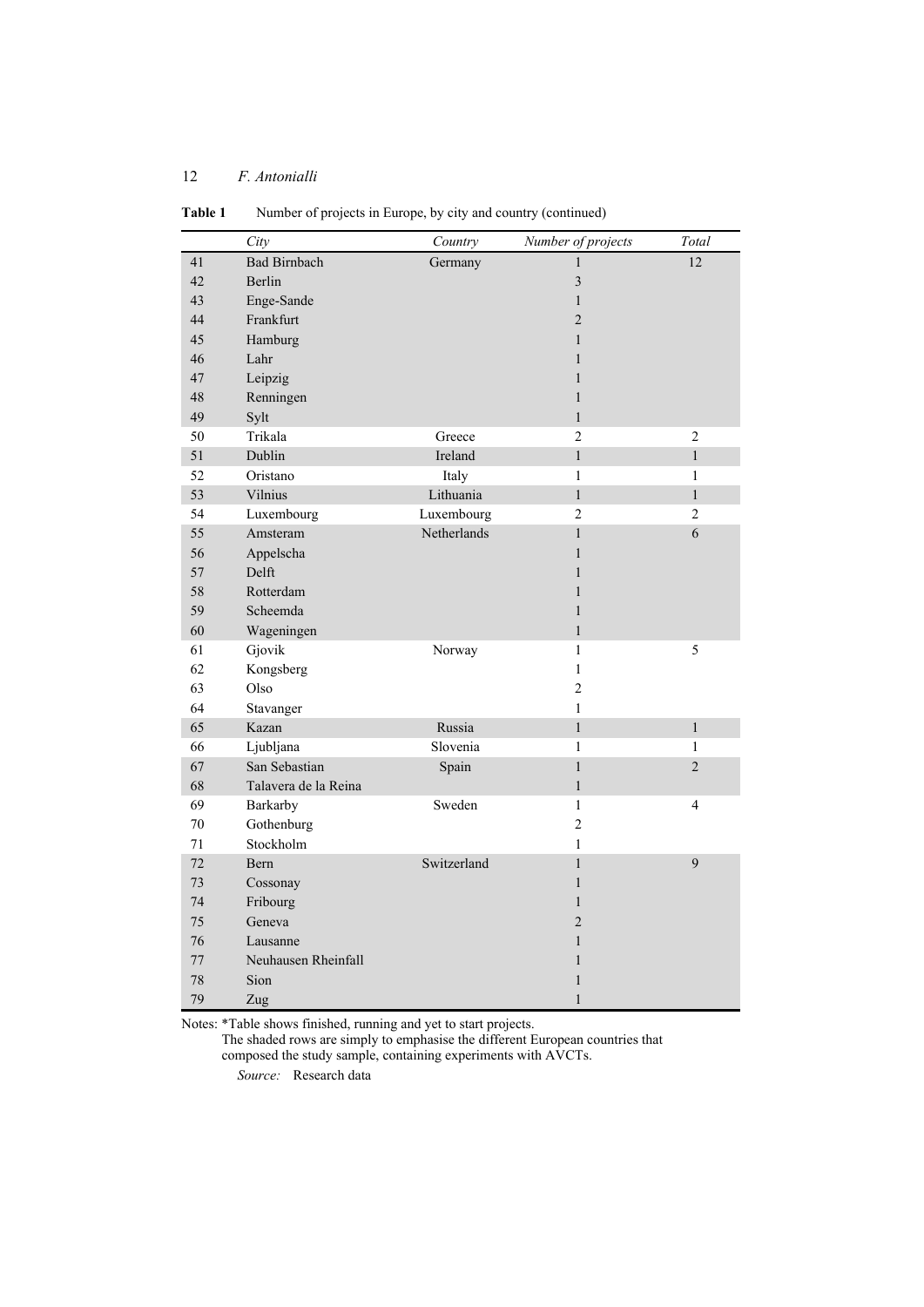|    | City                 | Country     | Number of projects | Total          |
|----|----------------------|-------------|--------------------|----------------|
| 41 | <b>Bad Birnbach</b>  | Germany     | 1                  | 12             |
| 42 | <b>Berlin</b>        |             | $\overline{3}$     |                |
| 43 | Enge-Sande           |             | $\mathbf{1}$       |                |
| 44 | Frankfurt            |             | $\overline{c}$     |                |
| 45 | Hamburg              |             | $\mathbf{1}$       |                |
| 46 | Lahr                 |             | $\mathbf{1}$       |                |
| 47 | Leipzig              |             | $\mathbf{1}$       |                |
| 48 | Renningen            |             | $\mathbf{1}$       |                |
| 49 | Sylt                 |             | $\mathbf{1}$       |                |
| 50 | Trikala              | Greece      | $\overline{2}$     | $\overline{2}$ |
| 51 | Dublin               | Ireland     | $\mathbf{1}$       | $\mathbf{1}$   |
| 52 | Oristano             | Italy       | $\mathbf{1}$       | $\mathbf{1}$   |
| 53 | Vilnius              | Lithuania   | $\mathbf{1}$       | $\mathbf{1}$   |
| 54 | Luxembourg           | Luxembourg  | $\overline{2}$     | $\overline{2}$ |
| 55 | Amsteram             | Netherlands | $\mathbf{1}$       | 6              |
| 56 | Appelscha            |             | $\mathbf{1}$       |                |
| 57 | Delft                |             | $\mathbf{1}$       |                |
| 58 | Rotterdam            |             | $\mathbf{1}$       |                |
| 59 | Scheemda             |             | $\mathbf{1}$       |                |
| 60 | Wageningen           |             | $\mathbf{1}$       |                |
| 61 | Gjovik               | Norway      | $\mathbf{1}$       | 5              |
| 62 | Kongsberg            |             | $\mathbf{1}$       |                |
| 63 | Olso                 |             | $\overline{c}$     |                |
| 64 | Stavanger            |             | $\mathbf{1}$       |                |
| 65 | Kazan                | Russia      | $\mathbf{1}$       | $\mathbf{1}$   |
| 66 | Ljubljana            | Slovenia    | 1                  | $\mathbf{1}$   |
| 67 | San Sebastian        | Spain       | $\mathbf{1}$       | $\overline{c}$ |
| 68 | Talavera de la Reina |             | $\mathbf{1}$       |                |
| 69 | Barkarby             | Sweden      | $\mathbf{1}$       | 4              |
| 70 | Gothenburg           |             | $\overline{c}$     |                |
| 71 | Stockholm            |             | $\mathbf{1}$       |                |
| 72 | Bern                 | Switzerland | $\mathbf{1}$       | 9              |
| 73 | Cossonay             |             | $\mathbf{1}$       |                |
| 74 | Fribourg             |             | $\mathbf{1}$       |                |
| 75 | Geneva               |             | $\overline{2}$     |                |
| 76 | Lausanne             |             | $\mathbf{1}$       |                |
| 77 | Neuhausen Rheinfall  |             | $\mathbf{1}$       |                |
| 78 | Sion                 |             | $\mathbf{1}$       |                |
| 79 | Zug                  |             | $\mathbf{1}$       |                |

**Table 1** Number of projects in Europe, by city and country (continued)

Notes: \*Table shows finished, running and yet to start projects.

The shaded rows are simply to emphasise the different European countries that composed the study sample, containing experiments with AVCTs.

*Source:* Research data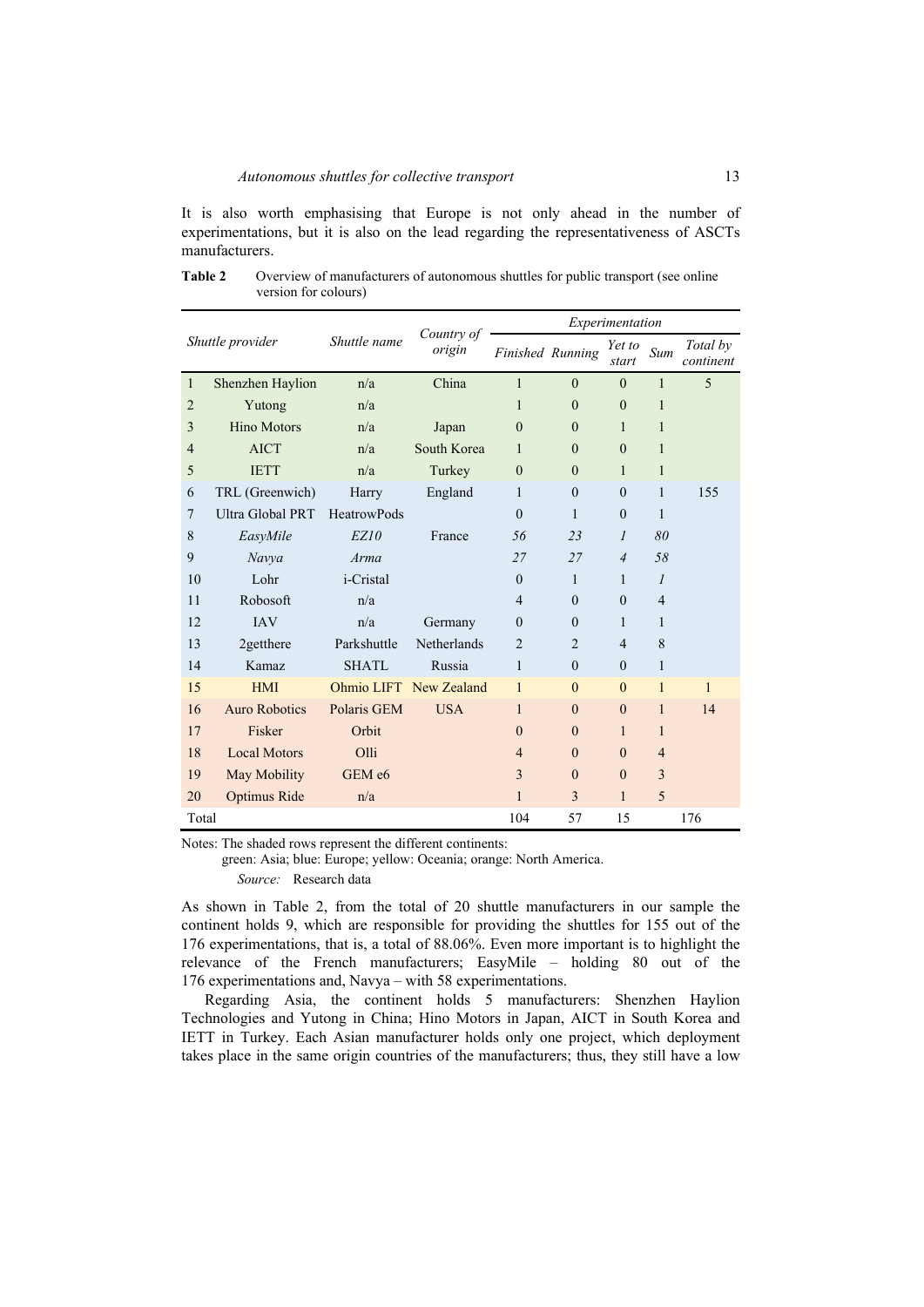It is also worth emphasising that Europe is not only ahead in the number of experimentations, but it is also on the lead regarding the representativeness of ASCTs manufacturers.

| Shuttle provider |                         | Shuttle name       | Country of<br>origin   | Experimentation |                  |                 |                |                       |
|------------------|-------------------------|--------------------|------------------------|-----------------|------------------|-----------------|----------------|-----------------------|
|                  |                         |                    |                        |                 | Finished Running | Yet to<br>start | Sum            | Total by<br>continent |
| $\mathbf{1}$     | Shenzhen Haylion        | n/a                | China                  | 1               | $\theta$         | $\theta$        | $\mathbf{1}$   | 5                     |
| $\overline{2}$   | Yutong                  | n/a                |                        | 1               | $\theta$         | $\theta$        | 1              |                       |
| 3                | <b>Hino Motors</b>      | n/a                | Japan                  | $\theta$        | $\theta$         | 1               | 1              |                       |
| $\overline{4}$   | <b>AICT</b>             | n/a                | South Korea            | 1               | $\theta$         | $\theta$        | 1              |                       |
| 5                | <b>IETT</b>             | n/a                | Turkey                 | $\Omega$        | $\Omega$         | 1               | 1              |                       |
| 6                | TRL (Greenwich)         | Harry              | England                | $\mathbf{1}$    | $\theta$         | $\theta$        | 1              | 155                   |
| $\overline{7}$   | <b>Ultra Global PRT</b> | <b>HeatrowPods</b> |                        | $\theta$        | 1                | $\theta$        | 1              |                       |
| 8                | EasyMile                | EZ10               | France                 | 56              | 23               | $\mathcal{I}$   | 80             |                       |
| 9                | Navya                   | Arma               |                        | 27              | 27               | $\overline{4}$  | 58             |                       |
| 10               | Lohr                    | <i>i</i> -Cristal  |                        | $\theta$        | $\mathbf{1}$     | 1               | $\mathcal{I}$  |                       |
| 11               | Robosoft                | n/a                |                        | $\overline{4}$  | $\theta$         | $\theta$        | $\overline{4}$ |                       |
| 12               | <b>IAV</b>              | n/a                | Germany                | $\theta$        | $\Omega$         | 1               | 1              |                       |
| 13               | 2getthere               | Parkshuttle        | <b>Netherlands</b>     | $\overline{2}$  | $\overline{2}$   | $\overline{4}$  | 8              |                       |
| 14               | Kamaz                   | <b>SHATL</b>       | Russia                 | 1               | $\theta$         | $\theta$        | 1              |                       |
| 15               | <b>HMI</b>              |                    | Ohmio LIFT New Zealand | 1               | $\theta$         | $\theta$        | $\mathbf{1}$   | $\mathbf{1}$          |
| 16               | <b>Auro Robotics</b>    | Polaris GEM        | <b>USA</b>             | $\mathbf{1}$    | $\theta$         | $\theta$        | $\mathbf{1}$   | 14                    |
| 17               | Fisker                  | Orbit              |                        | $\theta$        | $\theta$         | $\mathbf{1}$    | 1              |                       |
| 18               | <b>Local Motors</b>     | Olli               |                        | $\overline{4}$  | $\theta$         | $\theta$        | $\overline{4}$ |                       |
| 19               | May Mobility            | GEM e6             |                        | 3               | $\Omega$         | $\mathbf{0}$    | 3              |                       |
| 20               | Optimus Ride            | n/a                |                        | $\mathbf{1}$    | 3                | $\mathbf{1}$    | 5              |                       |
| Total            |                         |                    |                        | 104             | 57               | 15              |                | 176                   |

Table 2 Overview of manufacturers of autonomous shuttles for public transport (see online version for colours)

Notes: The shaded rows represent the different continents:

green: Asia; blue: Europe; yellow: Oceania; orange: North America.

*Source:* Research data

As shown in Table 2, from the total of 20 shuttle manufacturers in our sample the continent holds 9, which are responsible for providing the shuttles for 155 out of the 176 experimentations, that is, a total of 88.06%. Even more important is to highlight the relevance of the French manufacturers; EasyMile – holding 80 out of the 176 experimentations and, Navya – with 58 experimentations.

Regarding Asia, the continent holds 5 manufacturers: Shenzhen Haylion Technologies and Yutong in China; Hino Motors in Japan, AICT in South Korea and IETT in Turkey. Each Asian manufacturer holds only one project, which deployment takes place in the same origin countries of the manufacturers; thus, they still have a low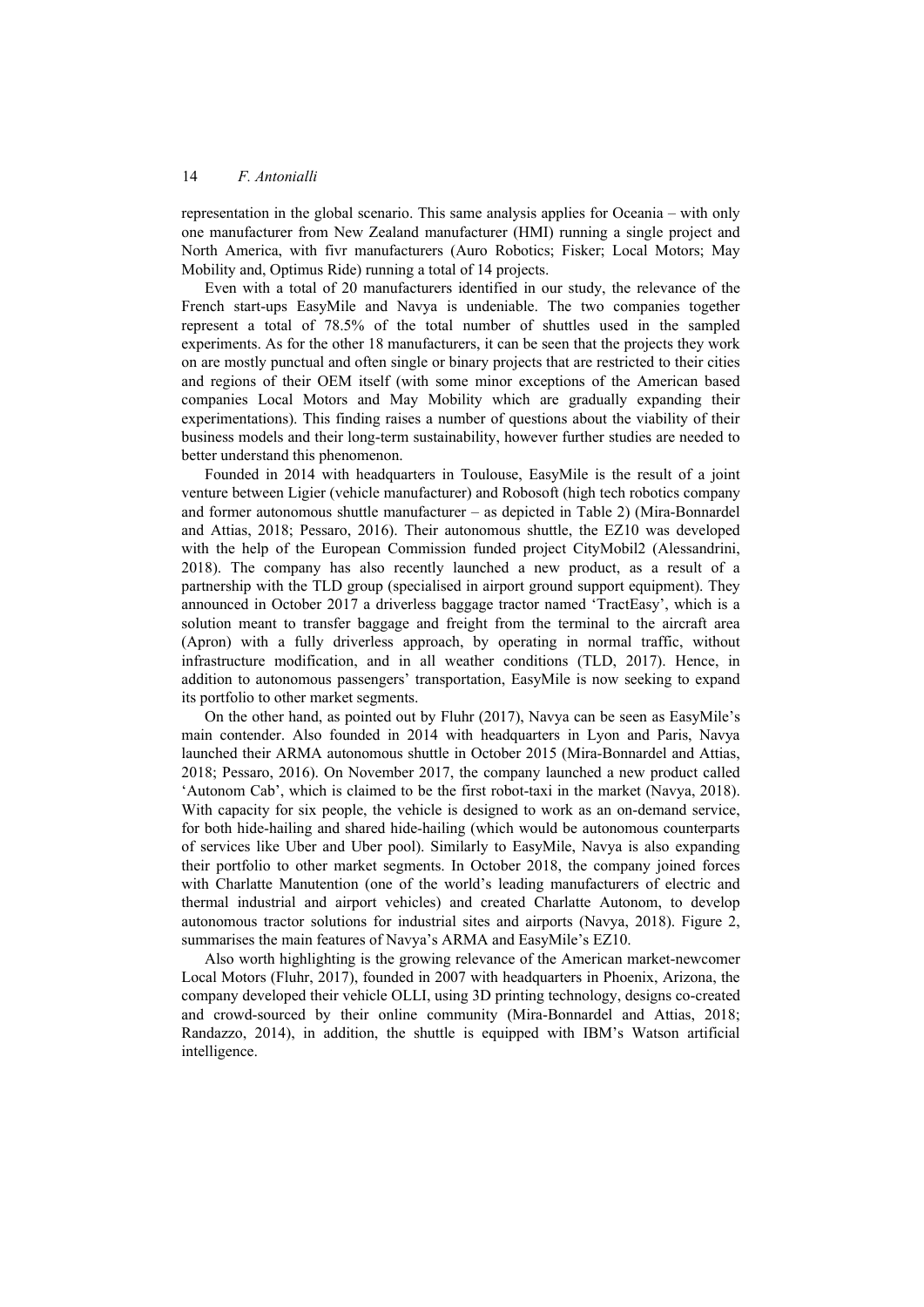representation in the global scenario. This same analysis applies for Oceania – with only one manufacturer from New Zealand manufacturer (HMI) running a single project and North America, with fivr manufacturers (Auro Robotics; Fisker; Local Motors; May Mobility and, Optimus Ride) running a total of 14 projects.

Even with a total of 20 manufacturers identified in our study, the relevance of the French start-ups EasyMile and Navya is undeniable. The two companies together represent a total of 78.5% of the total number of shuttles used in the sampled experiments. As for the other 18 manufacturers, it can be seen that the projects they work on are mostly punctual and often single or binary projects that are restricted to their cities and regions of their OEM itself (with some minor exceptions of the American based companies Local Motors and May Mobility which are gradually expanding their experimentations). This finding raises a number of questions about the viability of their business models and their long-term sustainability, however further studies are needed to better understand this phenomenon.

Founded in 2014 with headquarters in Toulouse, EasyMile is the result of a joint venture between Ligier (vehicle manufacturer) and Robosoft (high tech robotics company and former autonomous shuttle manufacturer – as depicted in Table 2) (Mira-Bonnardel and Attias, 2018; Pessaro, 2016). Their autonomous shuttle, the EZ10 was developed with the help of the European Commission funded project CityMobil2 (Alessandrini, 2018). The company has also recently launched a new product, as a result of a partnership with the TLD group (specialised in airport ground support equipment). They announced in October 2017 a driverless baggage tractor named 'TractEasy', which is a solution meant to transfer baggage and freight from the terminal to the aircraft area (Apron) with a fully driverless approach, by operating in normal traffic, without infrastructure modification, and in all weather conditions (TLD, 2017). Hence, in addition to autonomous passengers' transportation, EasyMile is now seeking to expand its portfolio to other market segments.

On the other hand, as pointed out by Fluhr (2017), Navya can be seen as EasyMile's main contender. Also founded in 2014 with headquarters in Lyon and Paris, Navya launched their ARMA autonomous shuttle in October 2015 (Mira-Bonnardel and Attias, 2018; Pessaro, 2016). On November 2017, the company launched a new product called 'Autonom Cab', which is claimed to be the first robot-taxi in the market (Navya, 2018). With capacity for six people, the vehicle is designed to work as an on-demand service, for both hide-hailing and shared hide-hailing (which would be autonomous counterparts of services like Uber and Uber pool). Similarly to EasyMile, Navya is also expanding their portfolio to other market segments. In October 2018, the company joined forces with Charlatte Manutention (one of the world's leading manufacturers of electric and thermal industrial and airport vehicles) and created Charlatte Autonom, to develop autonomous tractor solutions for industrial sites and airports (Navya, 2018). Figure 2, summarises the main features of Navya's ARMA and EasyMile's EZ10.

Also worth highlighting is the growing relevance of the American market-newcomer Local Motors (Fluhr, 2017), founded in 2007 with headquarters in Phoenix, Arizona, the company developed their vehicle OLLI, using 3D printing technology, designs co-created and crowd-sourced by their online community (Mira-Bonnardel and Attias, 2018; Randazzo, 2014), in addition, the shuttle is equipped with IBM's Watson artificial intelligence.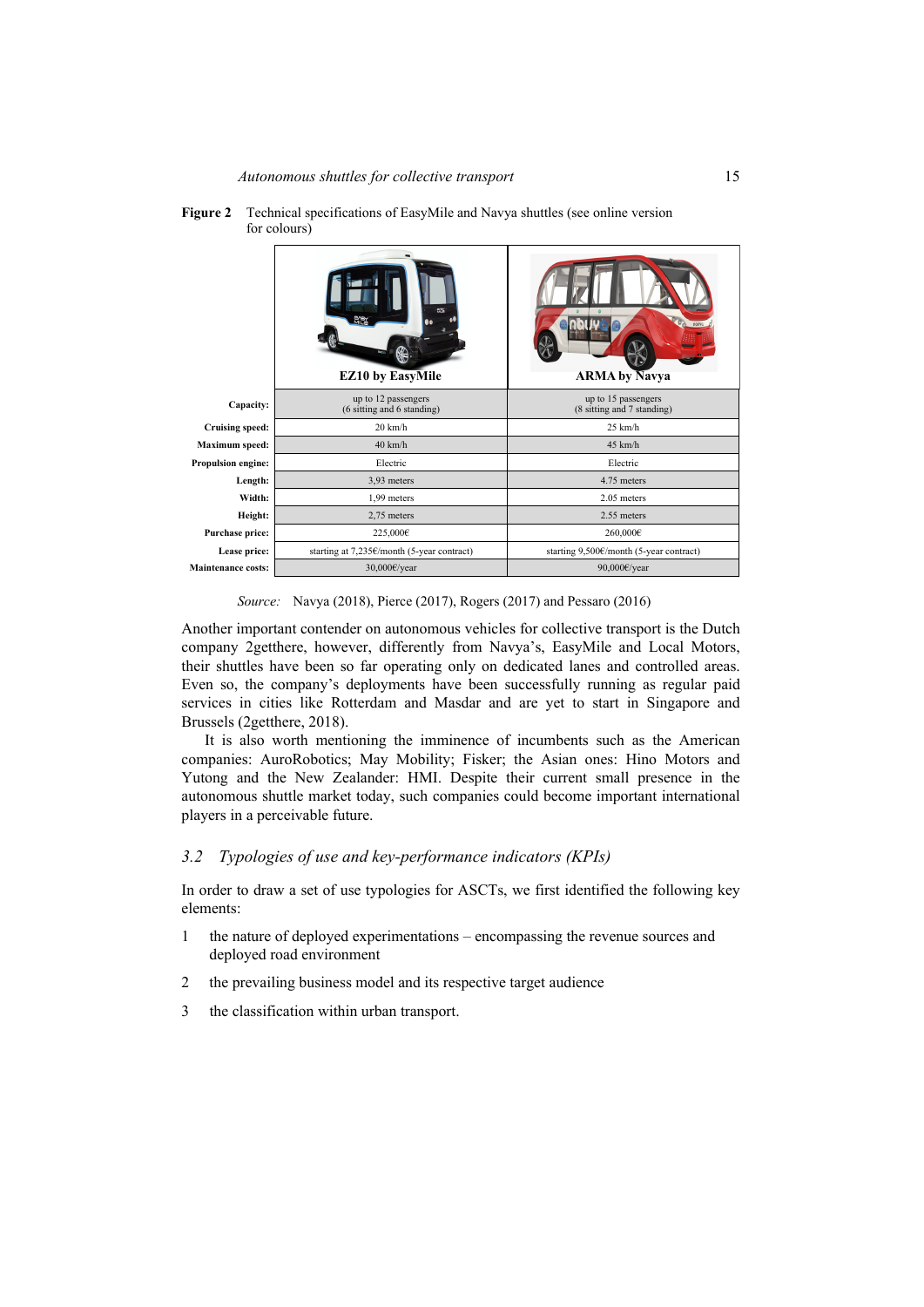|                           | es:<br><b>EZ10 by EasyMile</b>                    | <b>ARMA</b> by Navya                              |
|---------------------------|---------------------------------------------------|---------------------------------------------------|
| Capacity:                 | up to 12 passengers<br>(6 sitting and 6 standing) | up to 15 passengers<br>(8 sitting and 7 standing) |
| <b>Cruising speed:</b>    | $20 \text{ km/h}$                                 | $25$ km/h                                         |
| <b>Maximum</b> speed:     | $40 \text{ km/h}$                                 | $45 \text{ km/h}$                                 |
| Propulsion engine:        | Electric                                          | Electric                                          |
| Length:                   | 3,93 meters                                       | 4.75 meters                                       |
| Width:                    | 1,99 meters                                       | $2.05$ meters                                     |
| Height:                   | 2,75 meters                                       | 2.55 meters                                       |
| Purchase price:           | 225,000€                                          | 260,000€                                          |
| Lease price:              | starting at 7,235€/month (5-year contract)        | starting 9,500€/month (5-year contract)           |
| <b>Maintenance costs:</b> | 30,000€/year                                      | 90,000€/year                                      |

**Figure 2** Technical specifications of EasyMile and Navya shuttles (see online version for colours)

*Source:* Navya (2018), Pierce (2017), Rogers (2017) and Pessaro (2016)

Another important contender on autonomous vehicles for collective transport is the Dutch company 2getthere, however, differently from Navya's, EasyMile and Local Motors, their shuttles have been so far operating only on dedicated lanes and controlled areas. Even so, the company's deployments have been successfully running as regular paid services in cities like Rotterdam and Masdar and are yet to start in Singapore and Brussels (2getthere, 2018).

It is also worth mentioning the imminence of incumbents such as the American companies: AuroRobotics; May Mobility; Fisker; the Asian ones: Hino Motors and Yutong and the New Zealander: HMI. Despite their current small presence in the autonomous shuttle market today, such companies could become important international players in a perceivable future.

## *3.2 Typologies of use and key-performance indicators (KPIs)*

In order to draw a set of use typologies for ASCTs, we first identified the following key elements:

- 1 the nature of deployed experimentations encompassing the revenue sources and deployed road environment
- 2 the prevailing business model and its respective target audience
- 3 the classification within urban transport.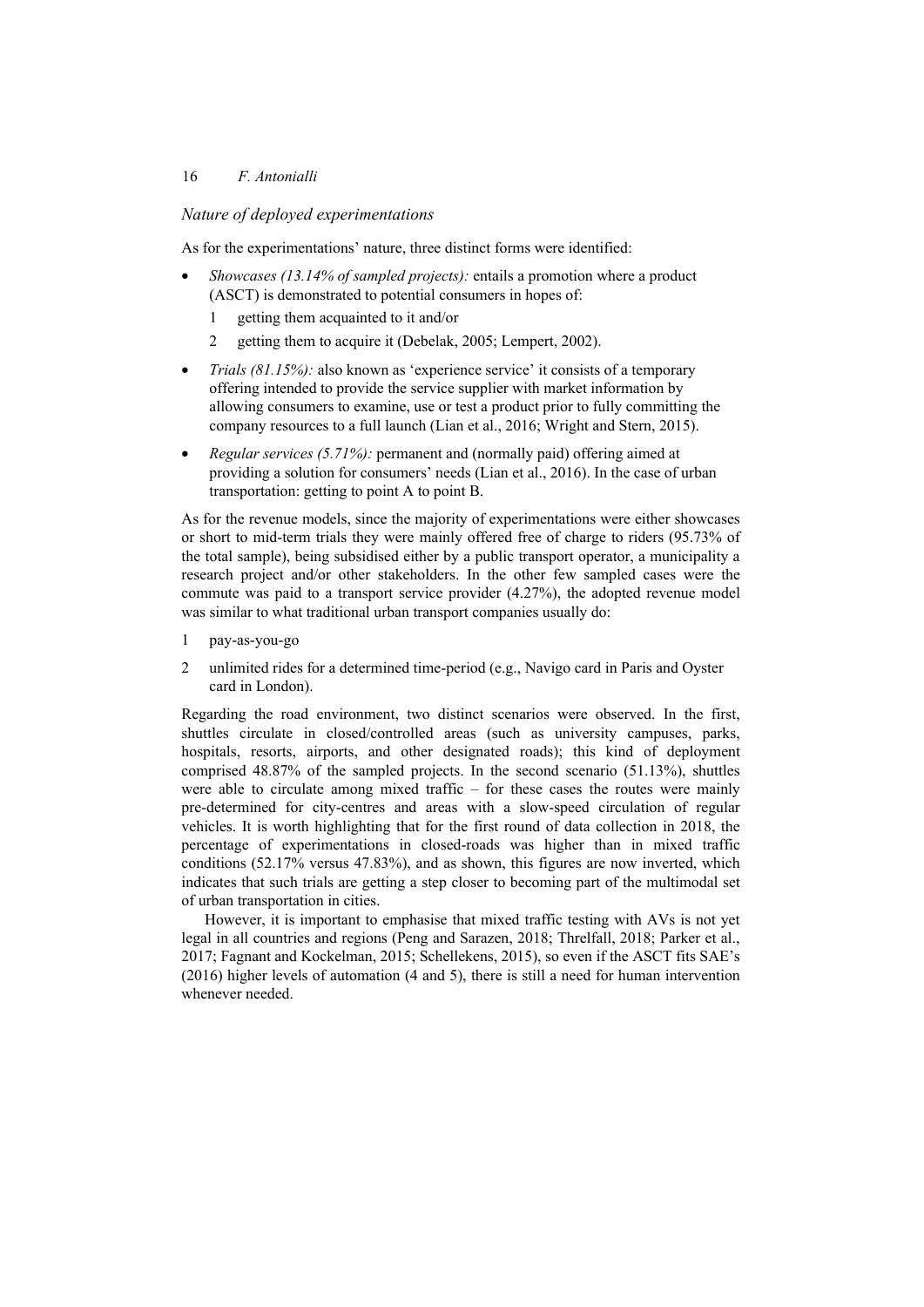## 16 *F. Antonialli*

## *Nature of deployed experimentations*

As for the experimentations' nature, three distinct forms were identified:

- *Showcases (13.14% of sampled projects):* entails a promotion where a product (ASCT) is demonstrated to potential consumers in hopes of:
	- 1 getting them acquainted to it and/or
	- 2 getting them to acquire it (Debelak, 2005; Lempert, 2002).
- *Trials (81.15%):* also known as 'experience service' it consists of a temporary offering intended to provide the service supplier with market information by allowing consumers to examine, use or test a product prior to fully committing the company resources to a full launch (Lian et al., 2016; Wright and Stern, 2015).
- *Regular services (5.71%):* permanent and (normally paid) offering aimed at providing a solution for consumers' needs (Lian et al., 2016). In the case of urban transportation: getting to point A to point B.

As for the revenue models, since the majority of experimentations were either showcases or short to mid-term trials they were mainly offered free of charge to riders (95.73% of the total sample), being subsidised either by a public transport operator, a municipality a research project and/or other stakeholders. In the other few sampled cases were the commute was paid to a transport service provider (4.27%), the adopted revenue model was similar to what traditional urban transport companies usually do:

- 1 pay-as-you-go
- 2 unlimited rides for a determined time-period (e.g., Navigo card in Paris and Oyster card in London).

Regarding the road environment, two distinct scenarios were observed. In the first, shuttles circulate in closed/controlled areas (such as university campuses, parks, hospitals, resorts, airports, and other designated roads); this kind of deployment comprised 48.87% of the sampled projects. In the second scenario (51.13%), shuttles were able to circulate among mixed traffic – for these cases the routes were mainly pre-determined for city-centres and areas with a slow-speed circulation of regular vehicles. It is worth highlighting that for the first round of data collection in 2018, the percentage of experimentations in closed-roads was higher than in mixed traffic conditions (52.17% versus 47.83%), and as shown, this figures are now inverted, which indicates that such trials are getting a step closer to becoming part of the multimodal set of urban transportation in cities.

However, it is important to emphasise that mixed traffic testing with AVs is not yet legal in all countries and regions (Peng and Sarazen, 2018; Threlfall, 2018; Parker et al., 2017; Fagnant and Kockelman, 2015; Schellekens, 2015), so even if the ASCT fits SAE's (2016) higher levels of automation (4 and 5), there is still a need for human intervention whenever needed.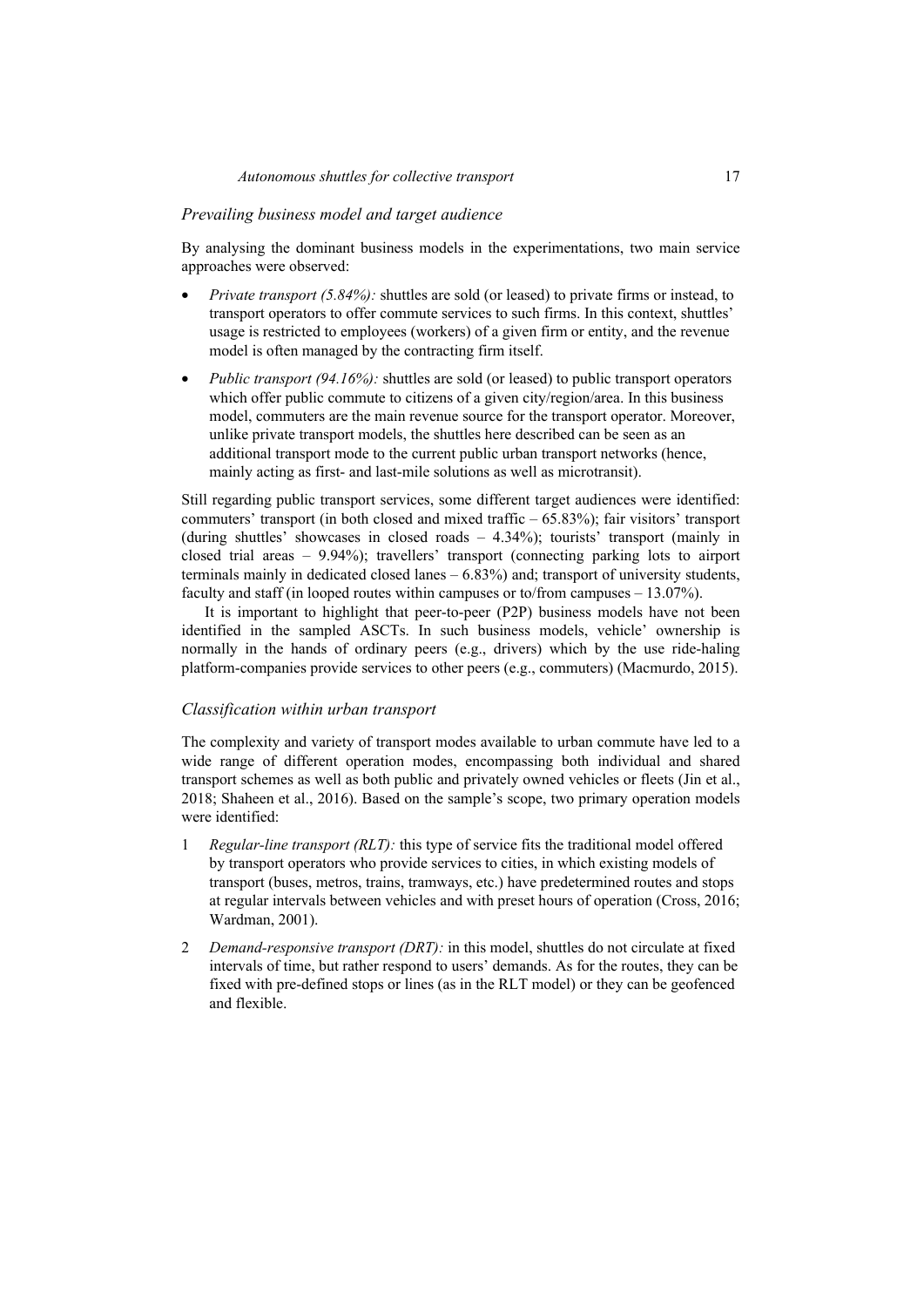#### *Prevailing business model and target audience*

By analysing the dominant business models in the experimentations, two main service approaches were observed:

- *Private transport (5.84%):* shuttles are sold (or leased) to private firms or instead, to transport operators to offer commute services to such firms. In this context, shuttles' usage is restricted to employees (workers) of a given firm or entity, and the revenue model is often managed by the contracting firm itself.
- *Public transport (94.16%):* shuttles are sold (or leased) to public transport operators which offer public commute to citizens of a given city/region/area. In this business model, commuters are the main revenue source for the transport operator. Moreover, unlike private transport models, the shuttles here described can be seen as an additional transport mode to the current public urban transport networks (hence, mainly acting as first- and last-mile solutions as well as microtransit).

Still regarding public transport services, some different target audiences were identified: commuters' transport (in both closed and mixed traffic – 65.83%); fair visitors' transport (during shuttles' showcases in closed roads – 4.34%); tourists' transport (mainly in closed trial areas – 9.94%); travellers' transport (connecting parking lots to airport terminals mainly in dedicated closed lanes  $-6.83\%$  and; transport of university students, faculty and staff (in looped routes within campuses or to/from campuses – 13.07%).

It is important to highlight that peer-to-peer (P2P) business models have not been identified in the sampled ASCTs. In such business models, vehicle' ownership is normally in the hands of ordinary peers (e.g., drivers) which by the use ride-haling platform-companies provide services to other peers (e.g., commuters) (Macmurdo, 2015).

#### *Classification within urban transport*

The complexity and variety of transport modes available to urban commute have led to a wide range of different operation modes, encompassing both individual and shared transport schemes as well as both public and privately owned vehicles or fleets (Jin et al., 2018; Shaheen et al., 2016). Based on the sample's scope, two primary operation models were identified:

- 1 *Regular-line transport (RLT):* this type of service fits the traditional model offered by transport operators who provide services to cities, in which existing models of transport (buses, metros, trains, tramways, etc.) have predetermined routes and stops at regular intervals between vehicles and with preset hours of operation (Cross, 2016; Wardman, 2001).
- 2 *Demand-responsive transport (DRT):* in this model, shuttles do not circulate at fixed intervals of time, but rather respond to users' demands. As for the routes, they can be fixed with pre-defined stops or lines (as in the RLT model) or they can be geofenced and flexible.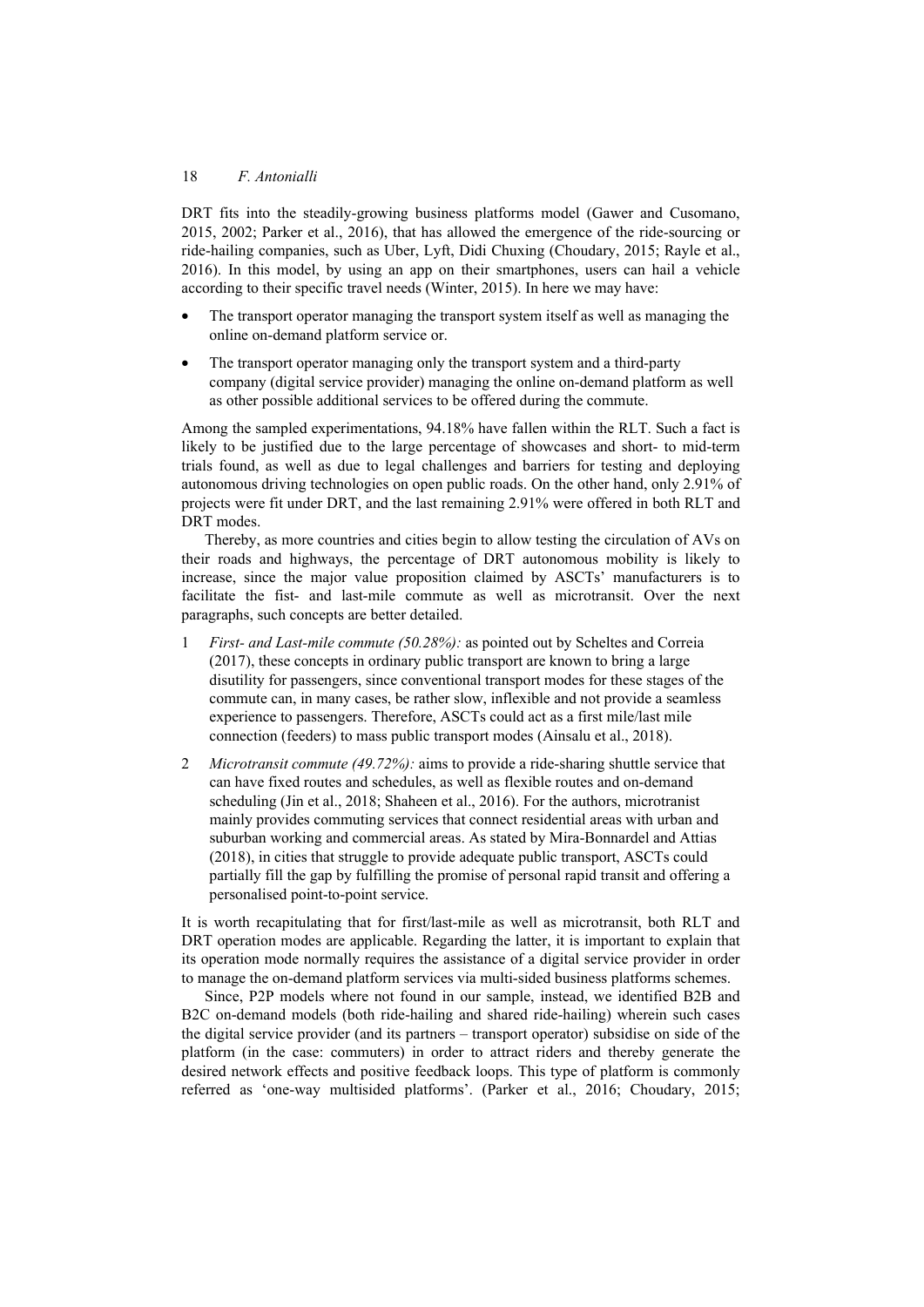DRT fits into the steadily-growing business platforms model (Gawer and Cusomano, 2015, 2002; Parker et al., 2016), that has allowed the emergence of the ride-sourcing or ride-hailing companies, such as Uber, Lyft, Didi Chuxing (Choudary, 2015; Rayle et al., 2016). In this model, by using an app on their smartphones, users can hail a vehicle according to their specific travel needs (Winter, 2015). In here we may have:

- The transport operator managing the transport system itself as well as managing the online on-demand platform service or.
- The transport operator managing only the transport system and a third-party company (digital service provider) managing the online on-demand platform as well as other possible additional services to be offered during the commute.

Among the sampled experimentations, 94.18% have fallen within the RLT. Such a fact is likely to be justified due to the large percentage of showcases and short- to mid-term trials found, as well as due to legal challenges and barriers for testing and deploying autonomous driving technologies on open public roads. On the other hand, only 2.91% of projects were fit under DRT, and the last remaining 2.91% were offered in both RLT and DRT modes.

Thereby, as more countries and cities begin to allow testing the circulation of AVs on their roads and highways, the percentage of DRT autonomous mobility is likely to increase, since the major value proposition claimed by ASCTs' manufacturers is to facilitate the fist- and last-mile commute as well as microtransit. Over the next paragraphs, such concepts are better detailed.

- 1 *First- and Last-mile commute (50.28%):* as pointed out by Scheltes and Correia (2017), these concepts in ordinary public transport are known to bring a large disutility for passengers, since conventional transport modes for these stages of the commute can, in many cases, be rather slow, inflexible and not provide a seamless experience to passengers. Therefore, ASCTs could act as a first mile/last mile connection (feeders) to mass public transport modes (Ainsalu et al., 2018).
- 2 *Microtransit commute (49.72%):* aims to provide a ride-sharing shuttle service that can have fixed routes and schedules, as well as flexible routes and on-demand scheduling (Jin et al., 2018; Shaheen et al., 2016). For the authors, microtranist mainly provides commuting services that connect residential areas with urban and suburban working and commercial areas. As stated by Mira-Bonnardel and Attias (2018), in cities that struggle to provide adequate public transport, ASCTs could partially fill the gap by fulfilling the promise of personal rapid transit and offering a personalised point-to-point service.

It is worth recapitulating that for first/last-mile as well as microtransit, both RLT and DRT operation modes are applicable. Regarding the latter, it is important to explain that its operation mode normally requires the assistance of a digital service provider in order to manage the on-demand platform services via multi-sided business platforms schemes.

Since, P2P models where not found in our sample, instead, we identified B2B and B2C on-demand models (both ride-hailing and shared ride-hailing) wherein such cases the digital service provider (and its partners – transport operator) subsidise on side of the platform (in the case: commuters) in order to attract riders and thereby generate the desired network effects and positive feedback loops. This type of platform is commonly referred as 'one-way multisided platforms'. (Parker et al., 2016; Choudary, 2015;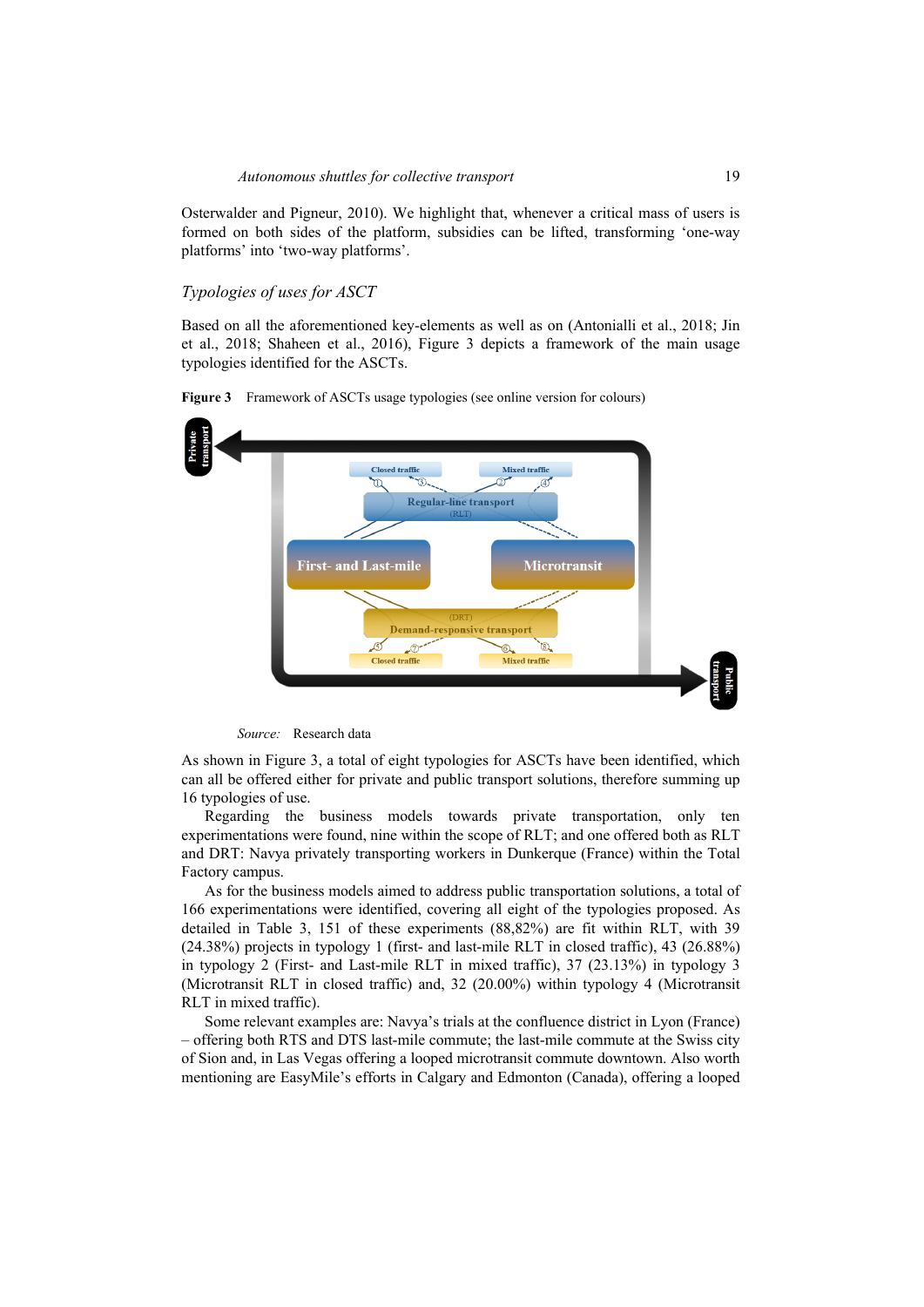Osterwalder and Pigneur, 2010). We highlight that, whenever a critical mass of users is formed on both sides of the platform, subsidies can be lifted, transforming 'one-way platforms' into 'two-way platforms'.

#### *Typologies of uses for ASCT*

Based on all the aforementioned key-elements as well as on (Antonialli et al., 2018; Jin et al., 2018; Shaheen et al., 2016), Figure 3 depicts a framework of the main usage typologies identified for the ASCTs.



**Figure 3** Framework of ASCTs usage typologies (see online version for colours)



As shown in Figure 3, a total of eight typologies for ASCTs have been identified, which can all be offered either for private and public transport solutions, therefore summing up 16 typologies of use.

Regarding the business models towards private transportation, only ten experimentations were found, nine within the scope of RLT; and one offered both as RLT and DRT: Navya privately transporting workers in Dunkerque (France) within the Total Factory campus.

As for the business models aimed to address public transportation solutions, a total of 166 experimentations were identified, covering all eight of the typologies proposed. As detailed in Table 3, 151 of these experiments (88,82%) are fit within RLT, with 39 (24.38%) projects in typology 1 (first- and last-mile RLT in closed traffic), 43 (26.88%) in typology 2 (First- and Last-mile RLT in mixed traffic), 37 (23.13%) in typology 3 (Microtransit RLT in closed traffic) and, 32 (20.00%) within typology 4 (Microtransit RLT in mixed traffic).

Some relevant examples are: Navya's trials at the confluence district in Lyon (France) – offering both RTS and DTS last-mile commute; the last-mile commute at the Swiss city of Sion and, in Las Vegas offering a looped microtransit commute downtown. Also worth mentioning are EasyMile's efforts in Calgary and Edmonton (Canada), offering a looped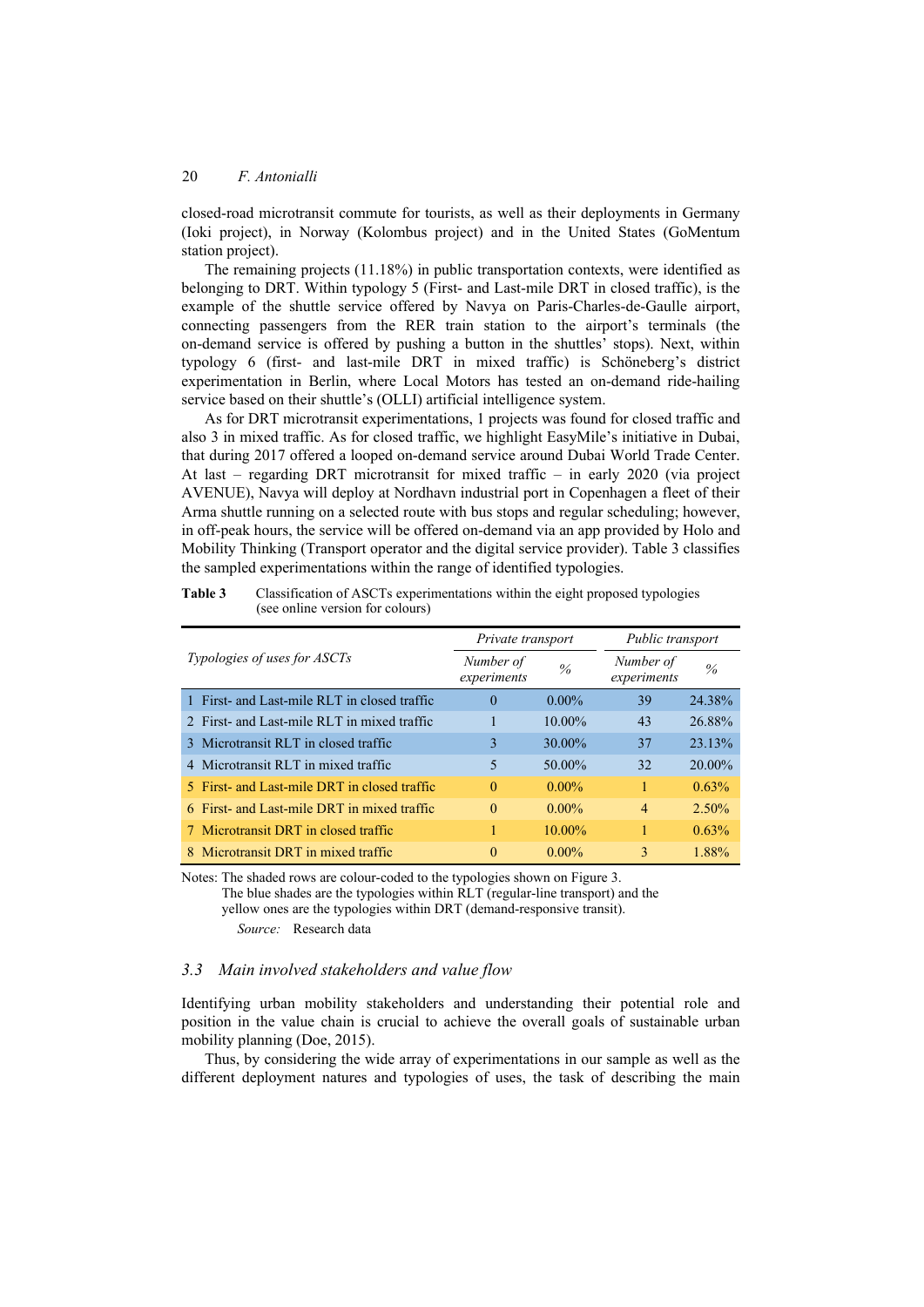closed-road microtransit commute for tourists, as well as their deployments in Germany (Ioki project), in Norway (Kolombus project) and in the United States (GoMentum station project).

The remaining projects (11.18%) in public transportation contexts, were identified as belonging to DRT. Within typology 5 (First- and Last-mile DRT in closed traffic), is the example of the shuttle service offered by Navya on Paris-Charles-de-Gaulle airport, connecting passengers from the RER train station to the airport's terminals (the on-demand service is offered by pushing a button in the shuttles' stops). Next, within typology 6 (first- and last-mile DRT in mixed traffic) is Schöneberg's district experimentation in Berlin, where Local Motors has tested an on-demand ride-hailing service based on their shuttle's (OLLI) artificial intelligence system.

As for DRT microtransit experimentations, 1 projects was found for closed traffic and also 3 in mixed traffic. As for closed traffic, we highlight EasyMile's initiative in Dubai, that during 2017 offered a looped on-demand service around Dubai World Trade Center. At last – regarding DRT microtransit for mixed traffic – in early 2020 (via project AVENUE), Navya will deploy at Nordhavn industrial port in Copenhagen a fleet of their Arma shuttle running on a selected route with bus stops and regular scheduling; however, in off-peak hours, the service will be offered on-demand via an app provided by Holo and Mobility Thinking (Transport operator and the digital service provider). Table 3 classifies the sampled experimentations within the range of identified typologies.

|                                              | Private transport        |               | Public transport         |               |
|----------------------------------------------|--------------------------|---------------|--------------------------|---------------|
| Typologies of uses for ASCTs                 | Number of<br>experiments | $\frac{0}{0}$ | Number of<br>experiments | $\frac{0}{6}$ |
| 1 First- and Last-mile RLT in closed traffic | $\Omega$                 | $0.00\%$      | 39                       | 24.38%        |
| 2. First- and Last-mile RLT in mixed traffic |                          | $10.00\%$     | 43                       | 26.88%        |
| 3 Microtransit RLT in closed traffic         | 3                        | 30.00%        | 37                       | 23.13%        |
| 4 Microtransit RLT in mixed traffic          | 5                        | 50.00%        | 32                       | $20.00\%$     |
| 5 First- and Last-mile DRT in closed traffic | $\Omega$                 | $0.00\%$      | 1                        | 0.63%         |
| 6 First- and Last-mile DRT in mixed traffic  | $\Omega$                 | $0.00\%$      | $\overline{4}$           | $2.50\%$      |
| 7 Microtransit DRT in closed traffic         |                          | $10.00\%$     | 1                        | 0.63%         |
| 8 Microtransit DRT in mixed traffic          | $\Omega$                 | $0.00\%$      | 3                        | 1.88%         |

**Table 3** Classification of ASCTs experimentations within the eight proposed typologies (see online version for colours)

Notes: The shaded rows are colour-coded to the typologies shown on Figure 3. The blue shades are the typologies within RLT (regular-line transport) and the yellow ones are the typologies within DRT (demand-responsive transit). *Source:* Research data

## *3.3 Main involved stakeholders and value flow*

Identifying urban mobility stakeholders and understanding their potential role and position in the value chain is crucial to achieve the overall goals of sustainable urban mobility planning (Doe, 2015).

Thus, by considering the wide array of experimentations in our sample as well as the different deployment natures and typologies of uses, the task of describing the main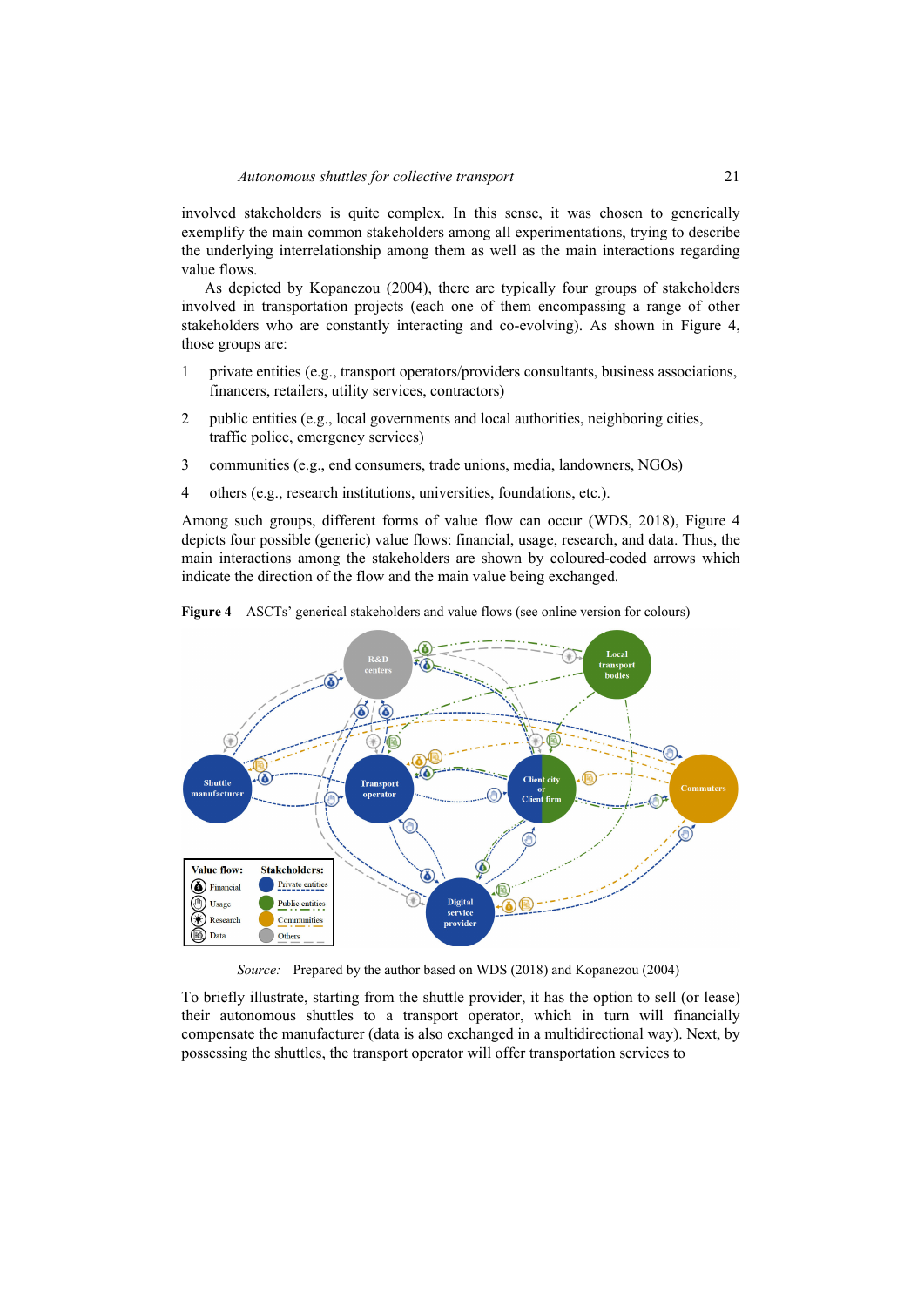involved stakeholders is quite complex. In this sense, it was chosen to generically exemplify the main common stakeholders among all experimentations, trying to describe the underlying interrelationship among them as well as the main interactions regarding value flows.

As depicted by Kopanezou (2004), there are typically four groups of stakeholders involved in transportation projects (each one of them encompassing a range of other stakeholders who are constantly interacting and co-evolving). As shown in Figure 4, those groups are:

- 1 private entities (e.g., transport operators/providers consultants, business associations, financers, retailers, utility services, contractors)
- 2 public entities (e.g., local governments and local authorities, neighboring cities, traffic police, emergency services)
- 3 communities (e.g., end consumers, trade unions, media, landowners, NGOs)
- 4 others (e.g., research institutions, universities, foundations, etc.).

Among such groups, different forms of value flow can occur (WDS, 2018), Figure 4 depicts four possible (generic) value flows: financial, usage, research, and data. Thus, the main interactions among the stakeholders are shown by coloured-coded arrows which indicate the direction of the flow and the main value being exchanged.



**Figure 4** ASCTs' generical stakeholders and value flows (see online version for colours)

*Source:* Prepared by the author based on WDS (2018) and Kopanezou (2004)

To briefly illustrate, starting from the shuttle provider, it has the option to sell (or lease) their autonomous shuttles to a transport operator, which in turn will financially compensate the manufacturer (data is also exchanged in a multidirectional way). Next, by possessing the shuttles, the transport operator will offer transportation services to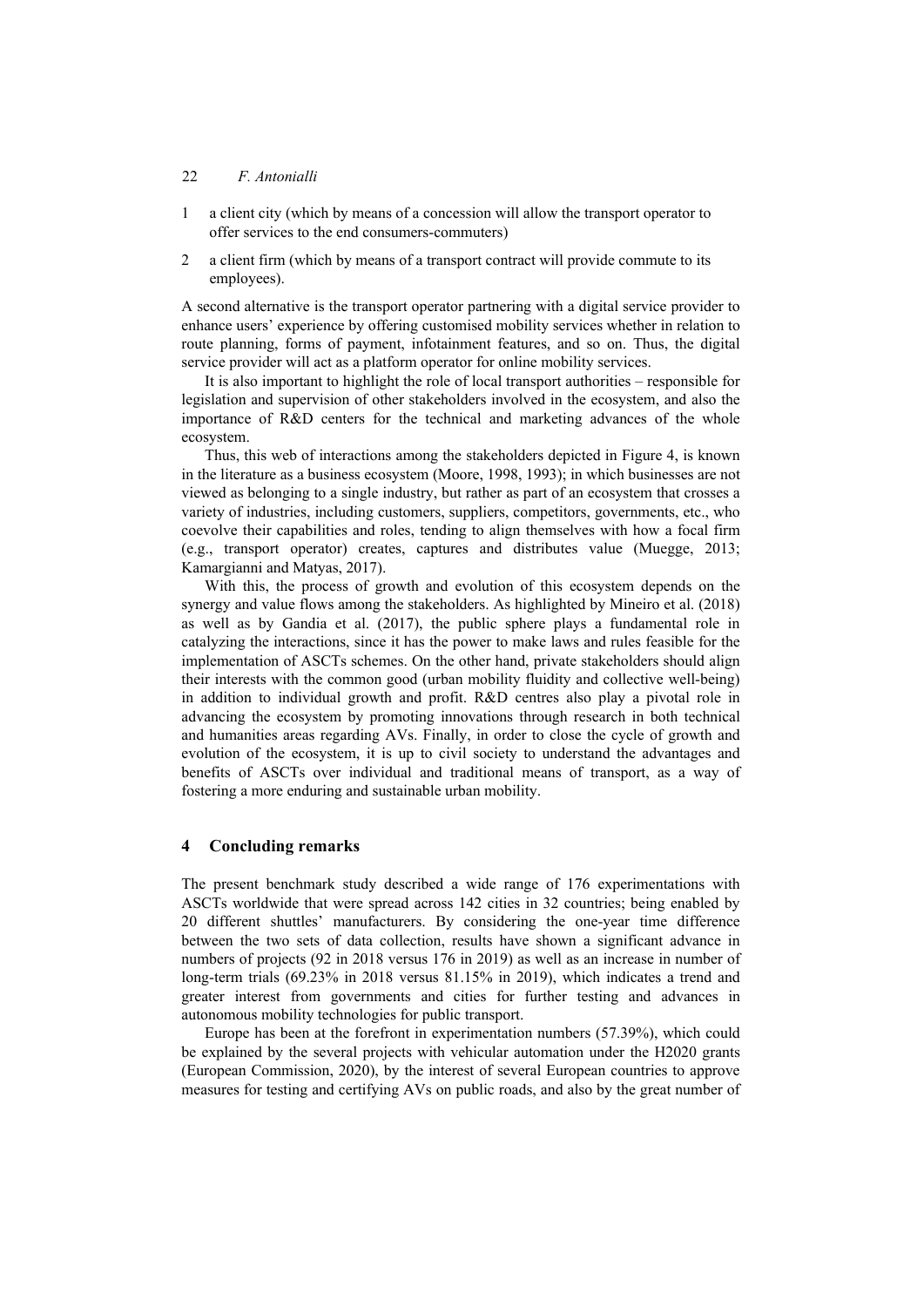- 1 a client city (which by means of a concession will allow the transport operator to offer services to the end consumers-commuters)
- 2 a client firm (which by means of a transport contract will provide commute to its employees).

A second alternative is the transport operator partnering with a digital service provider to enhance users' experience by offering customised mobility services whether in relation to route planning, forms of payment, infotainment features, and so on. Thus, the digital service provider will act as a platform operator for online mobility services.

It is also important to highlight the role of local transport authorities – responsible for legislation and supervision of other stakeholders involved in the ecosystem, and also the importance of R&D centers for the technical and marketing advances of the whole ecosystem.

Thus, this web of interactions among the stakeholders depicted in Figure 4, is known in the literature as a business ecosystem (Moore, 1998, 1993); in which businesses are not viewed as belonging to a single industry, but rather as part of an ecosystem that crosses a variety of industries, including customers, suppliers, competitors, governments, etc., who coevolve their capabilities and roles, tending to align themselves with how a focal firm (e.g., transport operator) creates, captures and distributes value (Muegge, 2013; Kamargianni and Matyas, 2017).

With this, the process of growth and evolution of this ecosystem depends on the synergy and value flows among the stakeholders. As highlighted by Mineiro et al. (2018) as well as by Gandia et al. (2017), the public sphere plays a fundamental role in catalyzing the interactions, since it has the power to make laws and rules feasible for the implementation of ASCTs schemes. On the other hand, private stakeholders should align their interests with the common good (urban mobility fluidity and collective well-being) in addition to individual growth and profit. R&D centres also play a pivotal role in advancing the ecosystem by promoting innovations through research in both technical and humanities areas regarding AVs. Finally, in order to close the cycle of growth and evolution of the ecosystem, it is up to civil society to understand the advantages and benefits of ASCTs over individual and traditional means of transport, as a way of fostering a more enduring and sustainable urban mobility.

## **4 Concluding remarks**

The present benchmark study described a wide range of 176 experimentations with ASCTs worldwide that were spread across 142 cities in 32 countries; being enabled by 20 different shuttles' manufacturers. By considering the one-year time difference between the two sets of data collection, results have shown a significant advance in numbers of projects (92 in 2018 versus 176 in 2019) as well as an increase in number of long-term trials (69.23% in 2018 versus 81.15% in 2019), which indicates a trend and greater interest from governments and cities for further testing and advances in autonomous mobility technologies for public transport.

Europe has been at the forefront in experimentation numbers (57.39%), which could be explained by the several projects with vehicular automation under the H2020 grants (European Commission, 2020), by the interest of several European countries to approve measures for testing and certifying AVs on public roads, and also by the great number of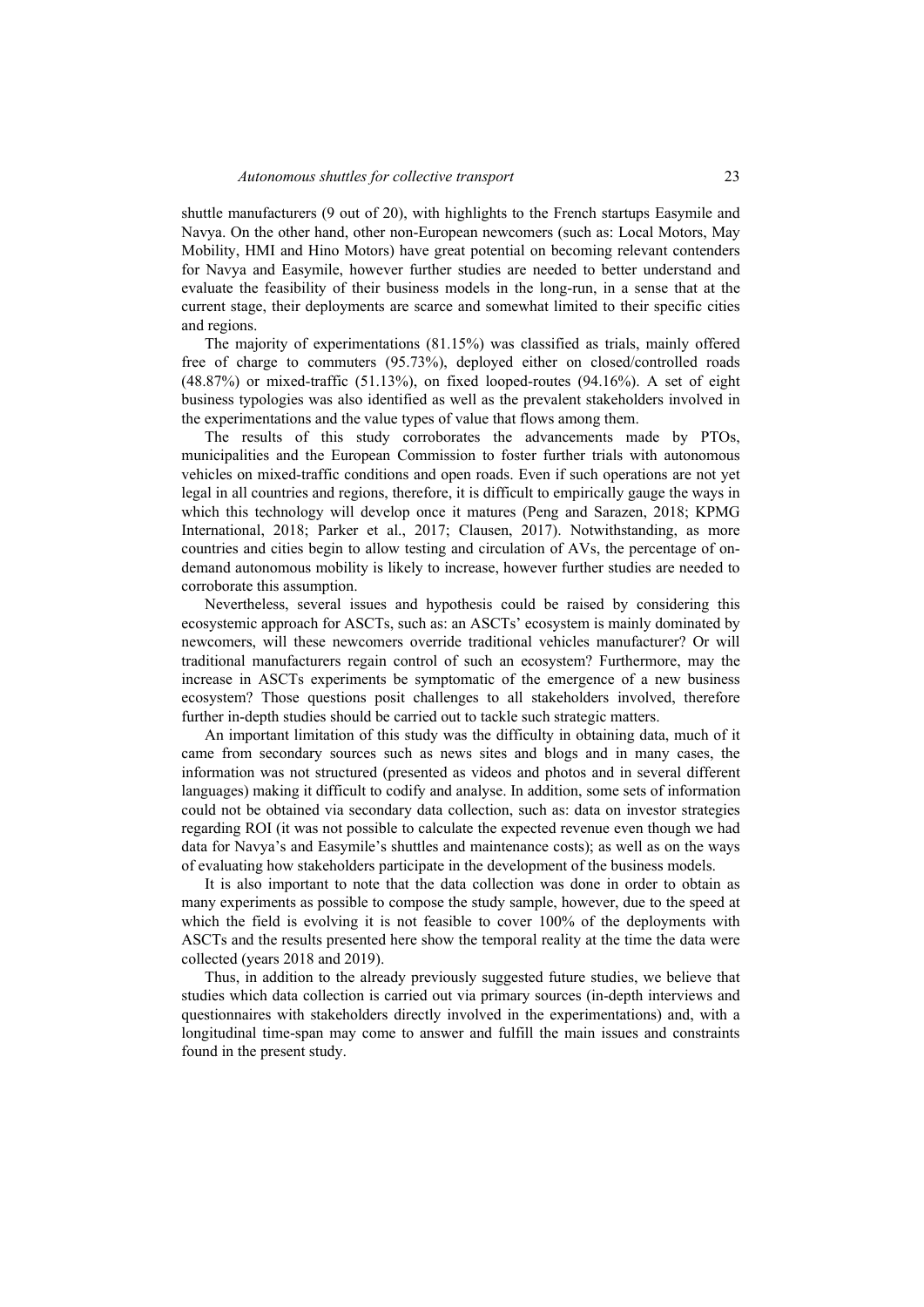shuttle manufacturers (9 out of 20), with highlights to the French startups Easymile and Navya. On the other hand, other non-European newcomers (such as: Local Motors, May Mobility, HMI and Hino Motors) have great potential on becoming relevant contenders for Navya and Easymile, however further studies are needed to better understand and evaluate the feasibility of their business models in the long-run, in a sense that at the current stage, their deployments are scarce and somewhat limited to their specific cities and regions.

The majority of experimentations (81.15%) was classified as trials, mainly offered free of charge to commuters (95.73%), deployed either on closed/controlled roads (48.87%) or mixed-traffic (51.13%), on fixed looped-routes (94.16%). A set of eight business typologies was also identified as well as the prevalent stakeholders involved in the experimentations and the value types of value that flows among them.

The results of this study corroborates the advancements made by PTOs, municipalities and the European Commission to foster further trials with autonomous vehicles on mixed-traffic conditions and open roads. Even if such operations are not yet legal in all countries and regions, therefore, it is difficult to empirically gauge the ways in which this technology will develop once it matures (Peng and Sarazen, 2018; KPMG International, 2018; Parker et al., 2017; Clausen, 2017). Notwithstanding, as more countries and cities begin to allow testing and circulation of AVs, the percentage of ondemand autonomous mobility is likely to increase, however further studies are needed to corroborate this assumption.

Nevertheless, several issues and hypothesis could be raised by considering this ecosystemic approach for ASCTs, such as: an ASCTs' ecosystem is mainly dominated by newcomers, will these newcomers override traditional vehicles manufacturer? Or will traditional manufacturers regain control of such an ecosystem? Furthermore, may the increase in ASCTs experiments be symptomatic of the emergence of a new business ecosystem? Those questions posit challenges to all stakeholders involved, therefore further in-depth studies should be carried out to tackle such strategic matters.

An important limitation of this study was the difficulty in obtaining data, much of it came from secondary sources such as news sites and blogs and in many cases, the information was not structured (presented as videos and photos and in several different languages) making it difficult to codify and analyse. In addition, some sets of information could not be obtained via secondary data collection, such as: data on investor strategies regarding ROI (it was not possible to calculate the expected revenue even though we had data for Navya's and Easymile's shuttles and maintenance costs); as well as on the ways of evaluating how stakeholders participate in the development of the business models.

It is also important to note that the data collection was done in order to obtain as many experiments as possible to compose the study sample, however, due to the speed at which the field is evolving it is not feasible to cover 100% of the deployments with ASCTs and the results presented here show the temporal reality at the time the data were collected (years 2018 and 2019).

Thus, in addition to the already previously suggested future studies, we believe that studies which data collection is carried out via primary sources (in-depth interviews and questionnaires with stakeholders directly involved in the experimentations) and, with a longitudinal time-span may come to answer and fulfill the main issues and constraints found in the present study.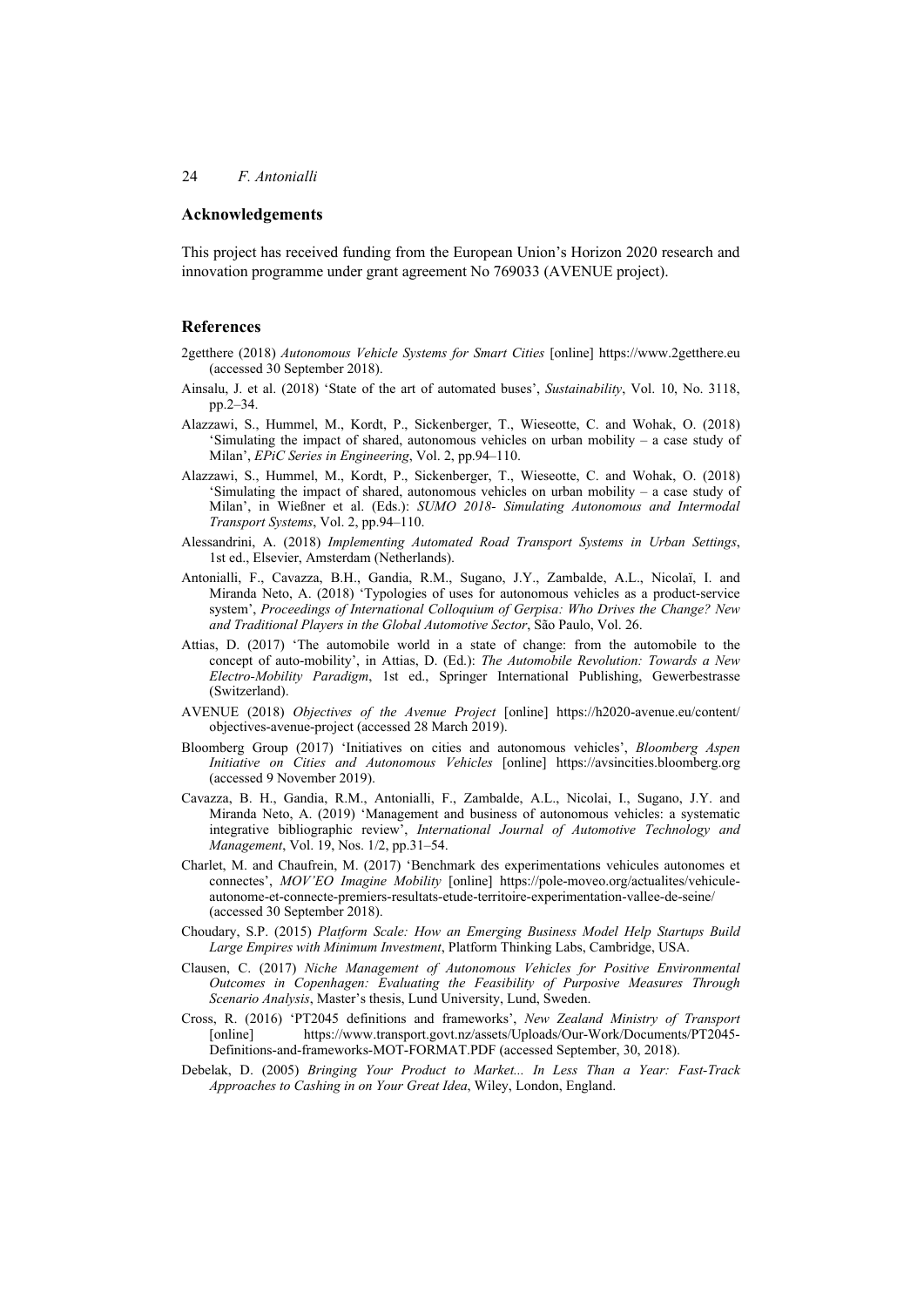### **Acknowledgements**

This project has received funding from the European Union's Horizon 2020 research and innovation programme under grant agreement No 769033 (AVENUE project).

## **References**

- 2getthere (2018) *Autonomous Vehicle Systems for Smart Cities* [online] https://www.2getthere.eu (accessed 30 September 2018).
- Ainsalu, J. et al. (2018) 'State of the art of automated buses', *Sustainability*, Vol. 10, No. 3118, pp.2–34.
- Alazzawi, S., Hummel, M., Kordt, P., Sickenberger, T., Wieseotte, C. and Wohak, O. (2018) 'Simulating the impact of shared, autonomous vehicles on urban mobility – a case study of Milan', *EPiC Series in Engineering*, Vol. 2, pp.94–110.
- Alazzawi, S., Hummel, M., Kordt, P., Sickenberger, T., Wieseotte, C. and Wohak, O. (2018) 'Simulating the impact of shared, autonomous vehicles on urban mobility – a case study of Milan', in Wießner et al. (Eds.): *SUMO 2018- Simulating Autonomous and Intermodal Transport Systems*, Vol. 2, pp.94–110.
- Alessandrini, A. (2018) *Implementing Automated Road Transport Systems in Urban Settings*, 1st ed., Elsevier, Amsterdam (Netherlands).
- Antonialli, F., Cavazza, B.H., Gandia, R.M., Sugano, J.Y., Zambalde, A.L., Nicolaï, I. and Miranda Neto, A. (2018) 'Typologies of uses for autonomous vehicles as a product-service system', *Proceedings of International Colloquium of Gerpisa: Who Drives the Change? New and Traditional Players in the Global Automotive Sector*, São Paulo, Vol. 26.
- Attias, D. (2017) 'The automobile world in a state of change: from the automobile to the concept of auto-mobility', in Attias, D. (Ed.): *The Automobile Revolution: Towards a New Electro-Mobility Paradigm*, 1st ed., Springer International Publishing, Gewerbestrasse (Switzerland).
- AVENUE (2018) *Objectives of the Avenue Project* [online] https://h2020-avenue.eu/content/ objectives-avenue-project (accessed 28 March 2019).
- Bloomberg Group (2017) 'Initiatives on cities and autonomous vehicles', *Bloomberg Aspen Initiative on Cities and Autonomous Vehicles* [online] https://avsincities.bloomberg.org (accessed 9 November 2019).
- Cavazza, B. H., Gandia, R.M., Antonialli, F., Zambalde, A.L., Nicolai, I., Sugano, J.Y. and Miranda Neto, A. (2019) 'Management and business of autonomous vehicles: a systematic integrative bibliographic review', *International Journal of Automotive Technology and Management*, Vol. 19, Nos. 1/2, pp.31–54.
- Charlet, M. and Chaufrein, M. (2017) 'Benchmark des experimentations vehicules autonomes et connectes', *MOV'EO Imagine Mobility* [online] https://pole-moveo.org/actualites/vehiculeautonome-et-connecte-premiers-resultats-etude-territoire-experimentation-vallee-de-seine/ (accessed 30 September 2018).
- Choudary, S.P. (2015) *Platform Scale: How an Emerging Business Model Help Startups Build Large Empires with Minimum Investment*, Platform Thinking Labs, Cambridge, USA.
- Clausen, C. (2017) *Niche Management of Autonomous Vehicles for Positive Environmental Outcomes in Copenhagen: Evaluating the Feasibility of Purposive Measures Through Scenario Analysis*, Master's thesis, Lund University, Lund, Sweden.
- Cross, R. (2016) 'PT2045 definitions and frameworks', *New Zealand Ministry of Transport* [online] https://www.transport.govt.nz/assets/Uploads/Our-Work/Documents/PT2045- Definitions-and-frameworks-MOT-FORMAT.PDF (accessed September, 30, 2018).
- Debelak, D. (2005) *Bringing Your Product to Market... In Less Than a Year: Fast-Track Approaches to Cashing in on Your Great Idea*, Wiley, London, England.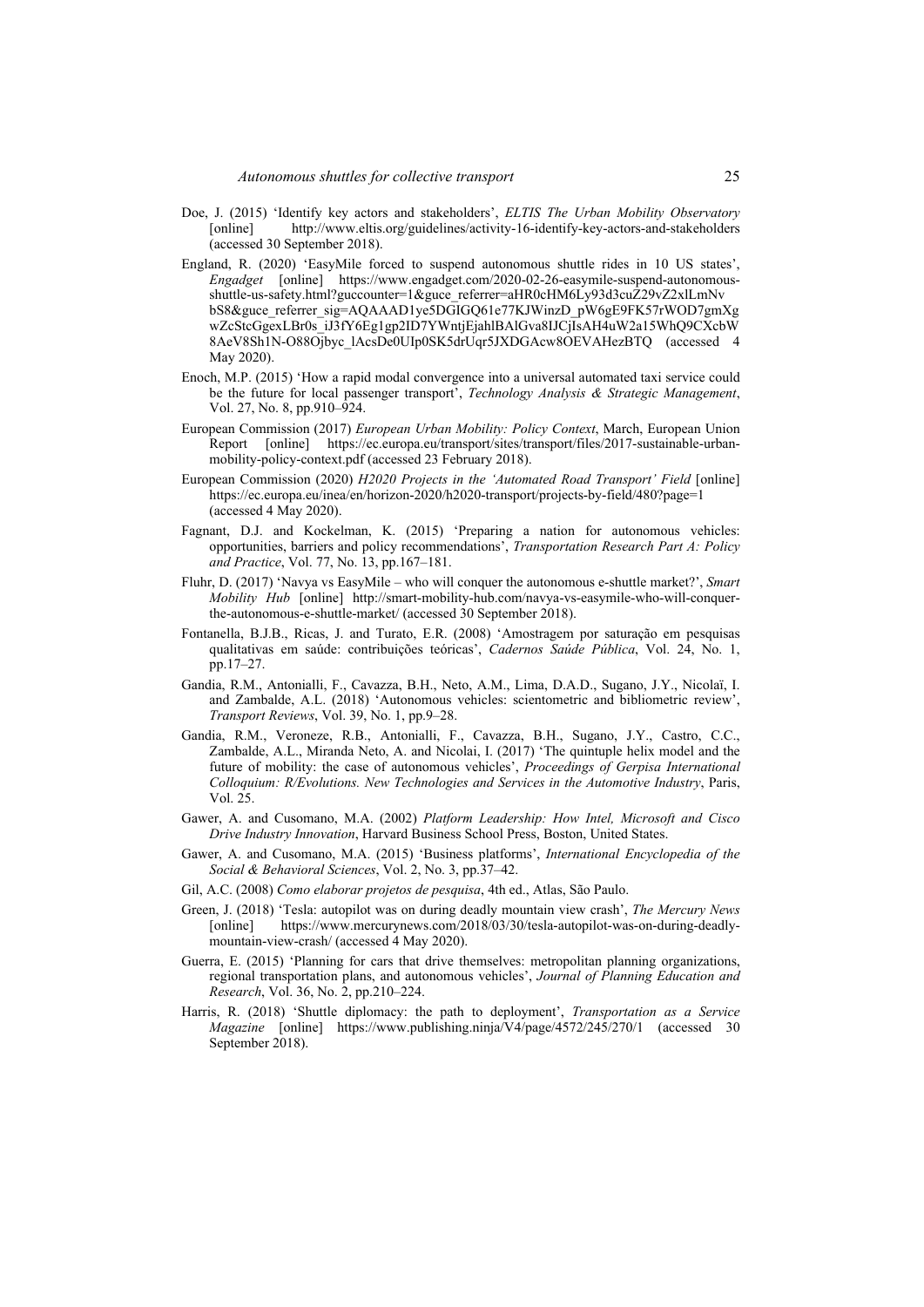- Doe, J. (2015) 'Identify key actors and stakeholders', *ELTIS The Urban Mobility Observatory* [online] http://www.eltis.org/guidelines/activity-16-identify-key-actors-and-stakeholders (accessed 30 September 2018).
- England, R. (2020) 'EasyMile forced to suspend autonomous shuttle rides in 10 US states', *Engadget* [online] https://www.engadget.com/2020-02-26-easymile-suspend-autonomousshuttle-us-safety.html?guccounter=1&guce\_referrer=aHR0cHM6Ly93d3cuZ29vZ2xlLmNv bS8&guce\_referrer\_sig=AQAAAD1ye5DGIGQ61e77KJWinzD\_pW6gE9FK57rWOD7gmXg wZcStcGgexLBr0s\_iJ3fY6Eg1gp2ID7YWntjEjahlBAlGva8IJCjIsAH4uW2a15WhQ9CXcbW 8AeV8Sh1N-O88Ojbyc\_lAcsDe0UIp0SK5drUqr5JXDGAcw8OEVAHezBTQ (accessed 4 May 2020).
- Enoch, M.P. (2015) 'How a rapid modal convergence into a universal automated taxi service could be the future for local passenger transport', *Technology Analysis & Strategic Management*, Vol. 27, No. 8, pp.910–924.
- European Commission (2017) *European Urban Mobility: Policy Context*, March, European Union Report [online] https://ec.europa.eu/transport/sites/transport/files/2017-sustainable-urbanmobility-policy-context.pdf (accessed 23 February 2018).
- European Commission (2020) *H2020 Projects in the 'Automated Road Transport' Field* [online] https://ec.europa.eu/inea/en/horizon-2020/h2020-transport/projects-by-field/480?page=1 (accessed 4 May 2020).
- Fagnant, D.J. and Kockelman, K. (2015) 'Preparing a nation for autonomous vehicles: opportunities, barriers and policy recommendations', *Transportation Research Part A: Policy and Practice*, Vol. 77, No. 13, pp.167–181.
- Fluhr, D. (2017) 'Navya vs EasyMile who will conquer the autonomous e-shuttle market?', *Smart Mobility Hub* [online] http://smart-mobility-hub.com/navya-vs-easymile-who-will-conquerthe-autonomous-e-shuttle-market/ (accessed 30 September 2018).
- Fontanella, B.J.B., Ricas, J. and Turato, E.R. (2008) 'Amostragem por saturação em pesquisas qualitativas em saúde: contribuições teóricas', *Cadernos Saúde Pública*, Vol. 24, No. 1, pp.17–27.
- Gandia, R.M., Antonialli, F., Cavazza, B.H., Neto, A.M., Lima, D.A.D., Sugano, J.Y., Nicolaï, I. and Zambalde, A.L. (2018) 'Autonomous vehicles: scientometric and bibliometric review', *Transport Reviews*, Vol. 39, No. 1, pp.9–28.
- Gandia, R.M., Veroneze, R.B., Antonialli, F., Cavazza, B.H., Sugano, J.Y., Castro, C.C., Zambalde, A.L., Miranda Neto, A. and Nicolai, I. (2017) 'The quintuple helix model and the future of mobility: the case of autonomous vehicles', *Proceedings of Gerpisa International Colloquium: R/Evolutions. New Technologies and Services in the Automotive Industry*, Paris, Vol. 25.
- Gawer, A. and Cusomano, M.A. (2002) *Platform Leadership: How Intel, Microsoft and Cisco Drive Industry Innovation*, Harvard Business School Press, Boston, United States.
- Gawer, A. and Cusomano, M.A. (2015) 'Business platforms', *International Encyclopedia of the Social & Behavioral Sciences*, Vol. 2, No. 3, pp.37–42.
- Gil, A.C. (2008) *Como elaborar projetos de pesquisa*, 4th ed., Atlas, São Paulo.
- Green, J. (2018) 'Tesla: autopilot was on during deadly mountain view crash', *The Mercury News* [online] https://www.mercurynews.com/2018/03/30/tesla-autopilot-was-on-during-deadlymountain-view-crash/ (accessed 4 May 2020).
- Guerra, E. (2015) 'Planning for cars that drive themselves: metropolitan planning organizations, regional transportation plans, and autonomous vehicles', *Journal of Planning Education and Research*, Vol. 36, No. 2, pp.210–224.
- Harris, R. (2018) 'Shuttle diplomacy: the path to deployment', *Transportation as a Service Magazine* [online] https://www.publishing.ninja/V4/page/4572/245/270/1 (accessed 30 September 2018).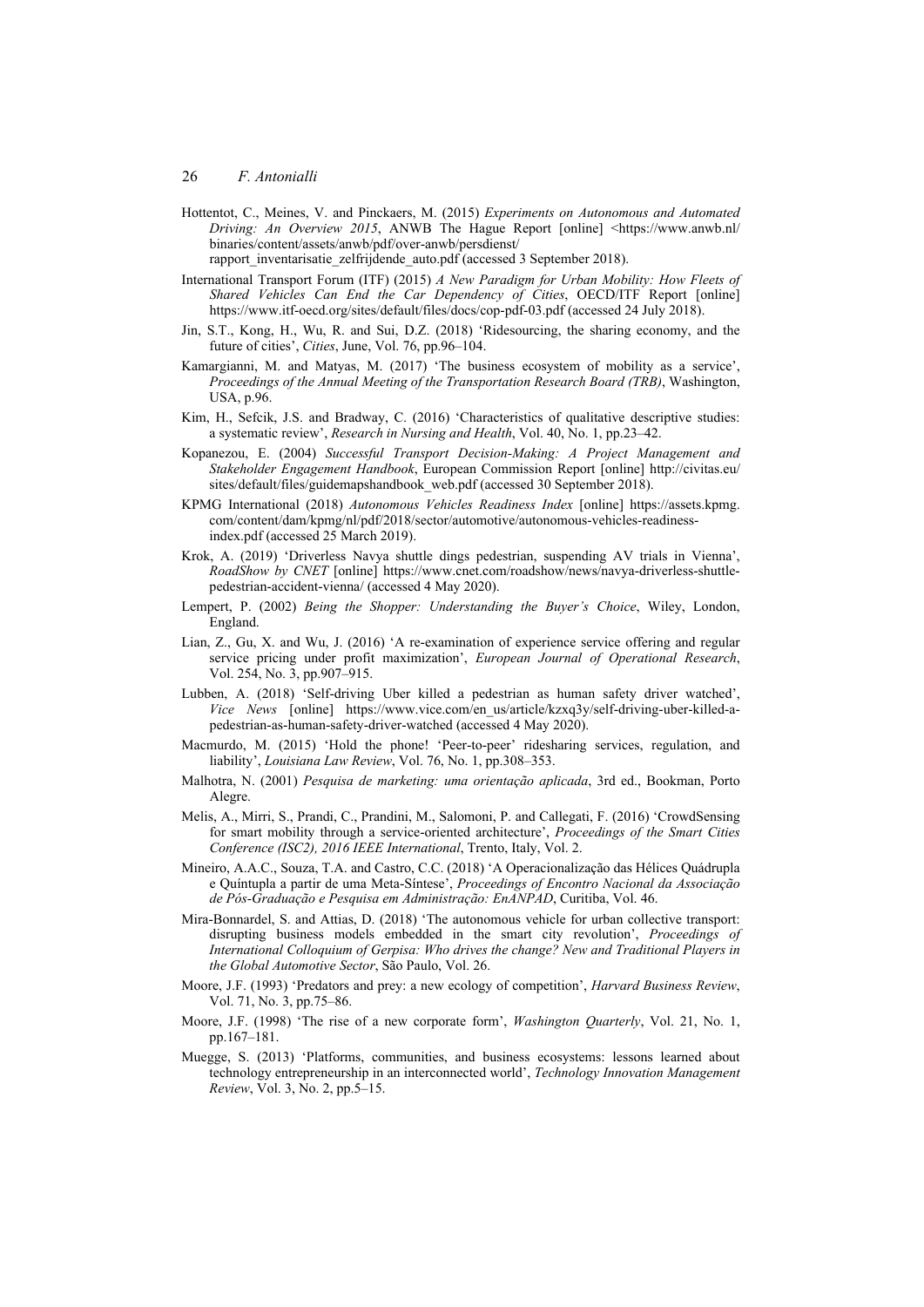Hottentot, C., Meines, V. and Pinckaers, M. (2015) *Experiments on Autonomous and Automated Driving: An Overview 2015*, ANWB The Hague Report [online] <https://www.anwb.nl/ binaries/content/assets/anwb/pdf/over-anwb/persdienst/

rapport inventarisatie zelfrijdende auto.pdf (accessed 3 September 2018).

- International Transport Forum (ITF) (2015) *A New Paradigm for Urban Mobility: How Fleets of Shared Vehicles Can End the Car Dependency of Cities*, OECD/ITF Report [online] https://www.itf-oecd.org/sites/default/files/docs/cop-pdf-03.pdf (accessed 24 July 2018).
- Jin, S.T., Kong, H., Wu, R. and Sui, D.Z. (2018) 'Ridesourcing, the sharing economy, and the future of cities', *Cities*, June, Vol. 76, pp.96–104.
- Kamargianni, M. and Matyas, M. (2017) 'The business ecosystem of mobility as a service', *Proceedings of the Annual Meeting of the Transportation Research Board (TRB)*, Washington, USA, p.96.
- Kim, H., Sefcik, J.S. and Bradway, C. (2016) 'Characteristics of qualitative descriptive studies: a systematic review', *Research in Nursing and Health*, Vol. 40, No. 1, pp.23–42.
- Kopanezou, E. (2004) *Successful Transport Decision-Making: A Project Management and Stakeholder Engagement Handbook*, European Commission Report [online] http://civitas.eu/ sites/default/files/guidemapshandbook\_web.pdf (accessed 30 September 2018).
- KPMG International (2018) *Autonomous Vehicles Readiness Index* [online] https://assets.kpmg. com/content/dam/kpmg/nl/pdf/2018/sector/automotive/autonomous-vehicles-readinessindex.pdf (accessed 25 March 2019).
- Krok, A. (2019) 'Driverless Navya shuttle dings pedestrian, suspending AV trials in Vienna', *RoadShow by CNET* [online] https://www.cnet.com/roadshow/news/navya-driverless-shuttlepedestrian-accident-vienna/ (accessed 4 May 2020).
- Lempert, P. (2002) *Being the Shopper: Understanding the Buyer's Choice*, Wiley, London, England.
- Lian, Z., Gu, X. and Wu, J. (2016) 'A re-examination of experience service offering and regular service pricing under profit maximization', *European Journal of Operational Research*, Vol. 254, No. 3, pp.907–915.
- Lubben, A. (2018) 'Self-driving Uber killed a pedestrian as human safety driver watched', *Vice News* [online] https://www.vice.com/en\_us/article/kzxq3y/self-driving-uber-killed-apedestrian-as-human-safety-driver-watched (accessed 4 May 2020).
- Macmurdo, M. (2015) 'Hold the phone! 'Peer-to-peer' ridesharing services, regulation, and liability', *Louisiana Law Review*, Vol. 76, No. 1, pp.308–353.
- Malhotra, N. (2001) *Pesquisa de marketing: uma orientação aplicada*, 3rd ed., Bookman, Porto Alegre.
- Melis, A., Mirri, S., Prandi, C., Prandini, M., Salomoni, P. and Callegati, F. (2016) 'CrowdSensing for smart mobility through a service-oriented architecture', *Proceedings of the Smart Cities Conference (ISC2), 2016 IEEE International*, Trento, Italy, Vol. 2.
- Mineiro, A.A.C., Souza, T.A. and Castro, C.C. (2018) 'A Operacionalização das Hélices Quádrupla e Quíntupla a partir de uma Meta-Síntese', *Proceedings of Encontro Nacional da Associação de Pós-Graduação e Pesquisa em Administração: EnANPAD*, Curitiba, Vol. 46.
- Mira-Bonnardel, S. and Attias, D. (2018) 'The autonomous vehicle for urban collective transport: disrupting business models embedded in the smart city revolution', *Proceedings of International Colloquium of Gerpisa: Who drives the change? New and Traditional Players in the Global Automotive Sector*, São Paulo, Vol. 26.
- Moore, J.F. (1993) 'Predators and prey: a new ecology of competition', *Harvard Business Review*, Vol. 71, No. 3, pp.75–86.
- Moore, J.F. (1998) 'The rise of a new corporate form', *Washington Quarterly*, Vol. 21, No. 1, pp.167–181.
- Muegge, S. (2013) 'Platforms, communities, and business ecosystems: lessons learned about technology entrepreneurship in an interconnected world', *Technology Innovation Management Review*, Vol. 3, No. 2, pp.5–15.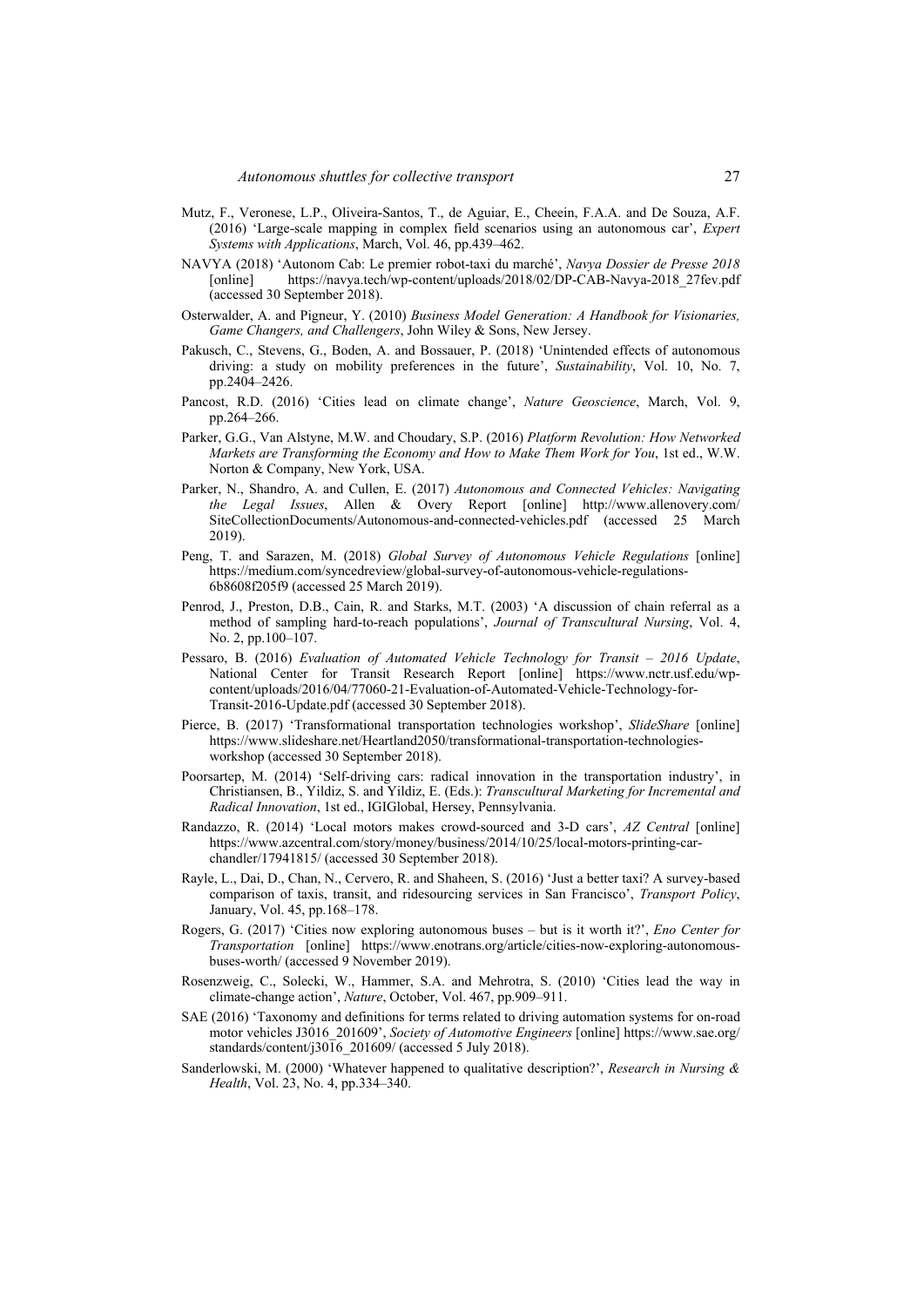- Mutz, F., Veronese, L.P., Oliveira-Santos, T., de Aguiar, E., Cheein, F.A.A. and De Souza, A.F. (2016) 'Large-scale mapping in complex field scenarios using an autonomous car', *Expert Systems with Applications*, March, Vol. 46, pp.439–462.
- NAVYA (2018) 'Autonom Cab: Le premier robot-taxi du marché', *Navya Dossier de Presse 2018* [online] https://navya.tech/wp-content/uploads/2018/02/DP-CAB-Navya-2018 27fev.pdf (accessed 30 September 2018).
- Osterwalder, A. and Pigneur, Y. (2010) *Business Model Generation: A Handbook for Visionaries, Game Changers, and Challengers*, John Wiley & Sons, New Jersey.
- Pakusch, C., Stevens, G., Boden, A. and Bossauer, P. (2018) 'Unintended effects of autonomous driving: a study on mobility preferences in the future', *Sustainability*, Vol. 10, No. 7, pp.2404–2426.
- Pancost, R.D. (2016) 'Cities lead on climate change', *Nature Geoscience*, March, Vol. 9, pp.264–266.
- Parker, G.G., Van Alstyne, M.W. and Choudary, S.P. (2016) *Platform Revolution: How Networked Markets are Transforming the Economy and How to Make Them Work for You*, 1st ed., W.W. Norton & Company, New York, USA.
- Parker, N., Shandro, A. and Cullen, E. (2017) *Autonomous and Connected Vehicles: Navigating the Legal Issues*, Allen & Overy Report [online] http://www.allenovery.com/ SiteCollectionDocuments/Autonomous-and-connected-vehicles.pdf (accessed 25 March 2019).
- Peng, T. and Sarazen, M. (2018) *Global Survey of Autonomous Vehicle Regulations* [online] https://medium.com/syncedreview/global-survey-of-autonomous-vehicle-regulations-6b8608f205f9 (accessed 25 March 2019).
- Penrod, J., Preston, D.B., Cain, R. and Starks, M.T. (2003) 'A discussion of chain referral as a method of sampling hard-to-reach populations', *Journal of Transcultural Nursing*, Vol. 4, No. 2, pp.100–107.
- Pessaro, B. (2016) *Evaluation of Automated Vehicle Technology for Transit 2016 Update*, National Center for Transit Research Report [online] https://www.nctr.usf.edu/wpcontent/uploads/2016/04/77060-21-Evaluation-of-Automated-Vehicle-Technology-for-Transit-2016-Update.pdf (accessed 30 September 2018).
- Pierce, B. (2017) 'Transformational transportation technologies workshop', *SlideShare* [online] https://www.slideshare.net/Heartland2050/transformational-transportation-technologiesworkshop (accessed 30 September 2018).
- Poorsartep, M. (2014) 'Self-driving cars: radical innovation in the transportation industry', in Christiansen, B., Yildiz, S. and Yildiz, E. (Eds.): *Transcultural Marketing for Incremental and Radical Innovation*, 1st ed., IGIGlobal, Hersey, Pennsylvania.
- Randazzo, R. (2014) 'Local motors makes crowd-sourced and 3-D cars', *AZ Central* [online] https://www.azcentral.com/story/money/business/2014/10/25/local-motors-printing-carchandler/17941815/ (accessed 30 September 2018).
- Rayle, L., Dai, D., Chan, N., Cervero, R. and Shaheen, S. (2016) 'Just a better taxi? A survey-based comparison of taxis, transit, and ridesourcing services in San Francisco', *Transport Policy*, January, Vol. 45, pp.168–178.
- Rogers, G. (2017) 'Cities now exploring autonomous buses but is it worth it?', *Eno Center for Transportation* [online] https://www.enotrans.org/article/cities-now-exploring-autonomousbuses-worth/ (accessed 9 November 2019).
- Rosenzweig, C., Solecki, W., Hammer, S.A. and Mehrotra, S. (2010) 'Cities lead the way in climate-change action', *Nature*, October, Vol. 467, pp.909–911.
- SAE (2016) 'Taxonomy and definitions for terms related to driving automation systems for on-road motor vehicles J3016\_201609', *Society of Automotive Engineers* [online] https://www.sae.org/ standards/content/j3016\_201609/ (accessed 5 July 2018).
- Sanderlowski, M. (2000) 'Whatever happened to qualitative description?', *Research in Nursing & Health*, Vol. 23, No. 4, pp.334–340.